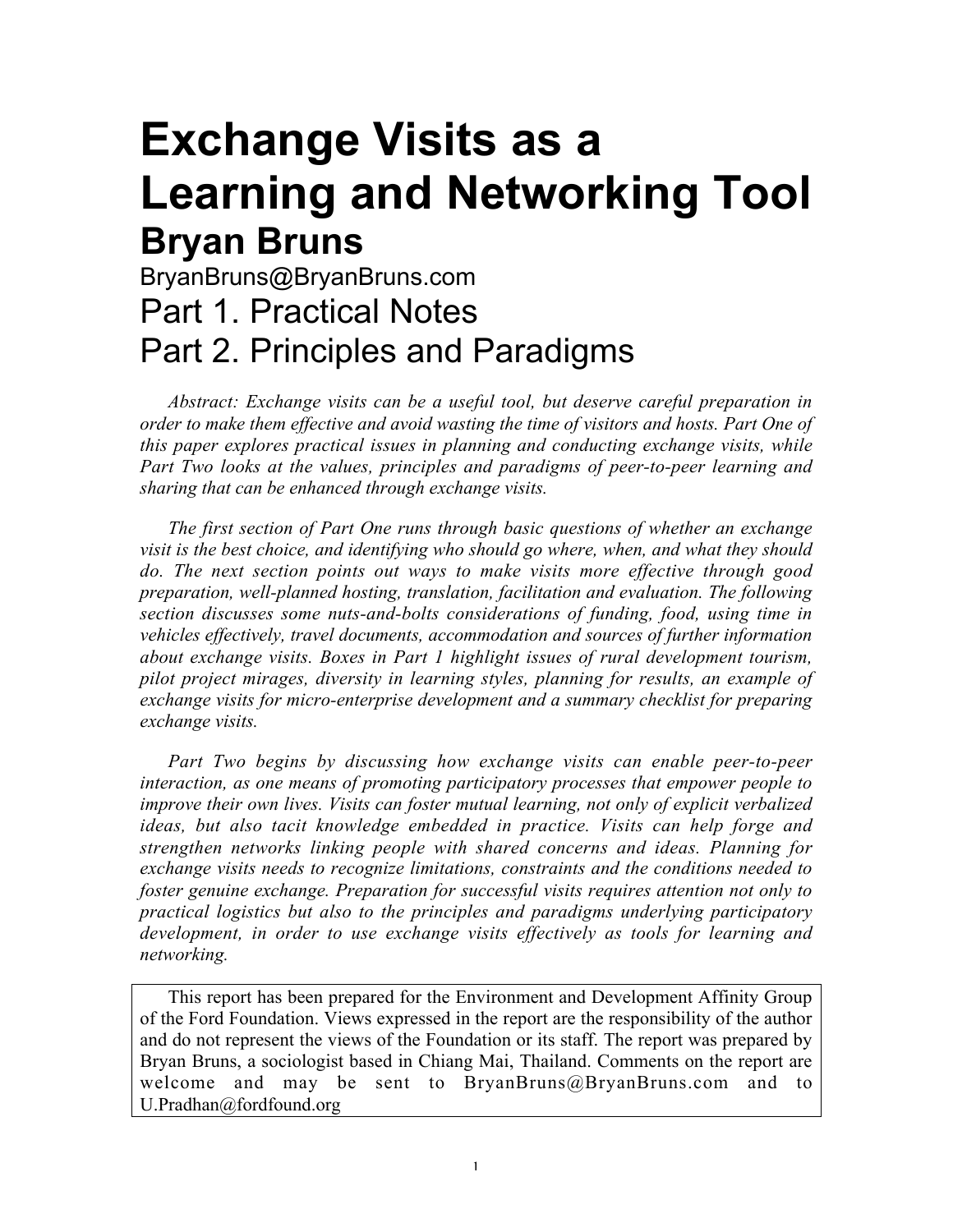# **Exchange Visits as a Learning and Networking Tool Bryan Bruns**

## BryanBruns@BryanBruns.com Part 1. Practical Notes Part 2. Principles and Paradigms

*Abstract: Exchange visits can be a useful tool, but deserve careful preparation in order to make them effective and avoid wasting the time of visitors and hosts. Part One of this paper explores practical issues in planning and conducting exchange visits, while Part Two looks at the values, principles and paradigms of peer-to-peer learning and sharing that can be enhanced through exchange visits.*

*The first section of Part One runs through basic questions of whether an exchange visit is the best choice, and identifying who should go where, when, and what they should do. The next section points out ways to make visits more effective through good preparation, well-planned hosting, translation, facilitation and evaluation. The following section discusses some nuts-and-bolts considerations of funding, food, using time in vehicles effectively, travel documents, accommodation and sources of further information about exchange visits. Boxes in Part 1 highlight issues of rural development tourism, pilot project mirages, diversity in learning styles, planning for results, an example of exchange visits for micro-enterprise development and a summary checklist for preparing exchange visits.*

*Part Two begins by discussing how exchange visits can enable peer-to-peer interaction, as one means of promoting participatory processes that empower people to improve their own lives. Visits can foster mutual learning, not only of explicit verbalized ideas, but also tacit knowledge embedded in practice. Visits can help forge and strengthen networks linking people with shared concerns and ideas. Planning for exchange visits needs to recognize limitations, constraints and the conditions needed to foster genuine exchange. Preparation for successful visits requires attention not only to practical logistics but also to the principles and paradigms underlying participatory development, in order to use exchange visits effectively as tools for learning and networking.*

This report has been prepared for the Environment and Development Affinity Group of the Ford Foundation. Views expressed in the report are the responsibility of the author and do not represent the views of the Foundation or its staff. The report was prepared by Bryan Bruns, a sociologist based in Chiang Mai, Thailand. Comments on the report are welcome and may be sent to BryanBruns@BryanBruns.com and to U.Pradhan@fordfound.org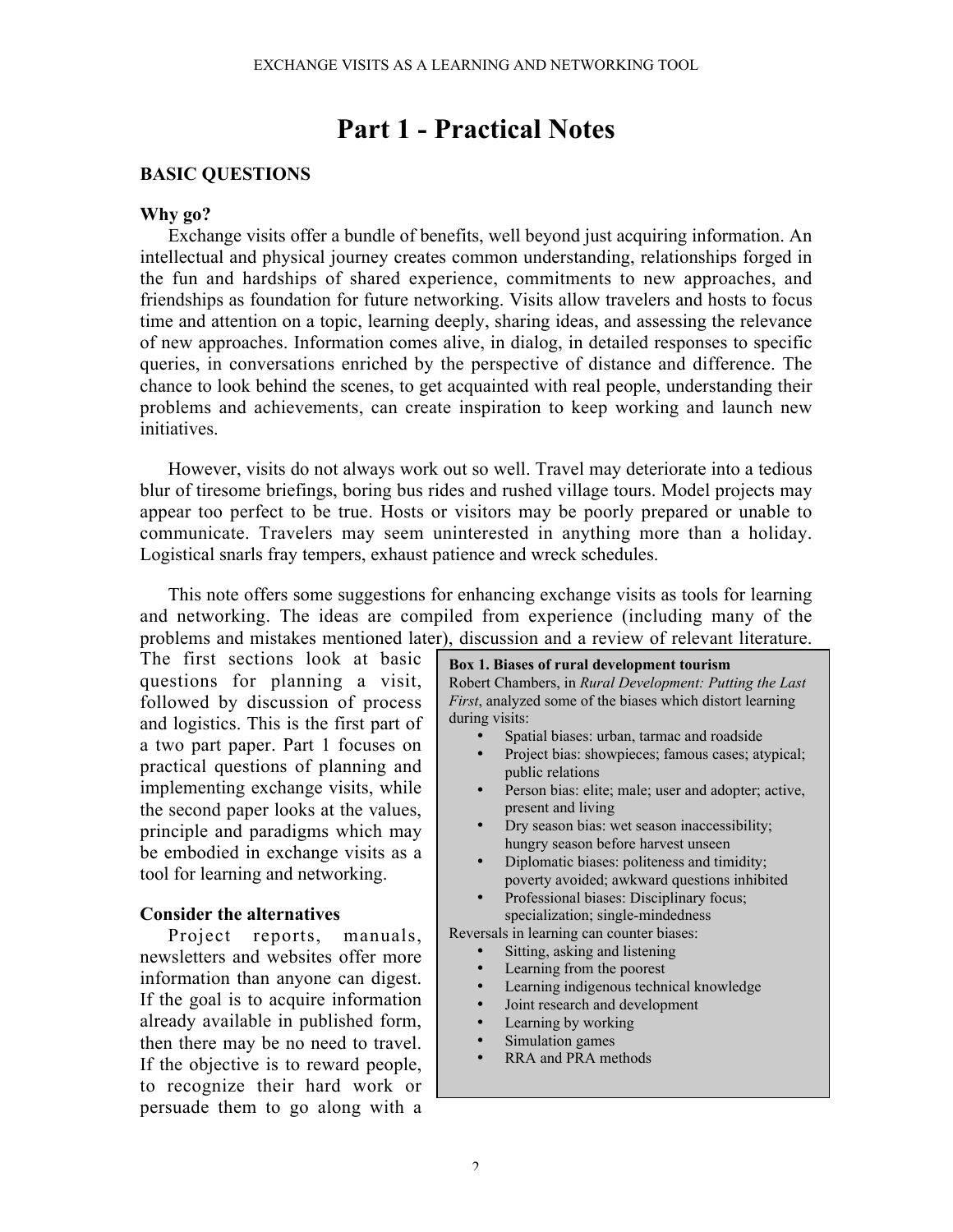## Part 1 - Practical Notes

## BASIC QUESTIONS

## Why go?

Exchange visits offer a bundle of benefits, well beyond just acquiring information. An intellectual and physical journey creates common understanding, relationships forged in the fun and hardships of shared experience, commitments to new approaches, and friendships as foundation for future networking. Visits allow travelers and hosts to focus time and attention on a topic, learning deeply, sharing ideas, and assessing the relevance of new approaches. Information comes alive, in dialog, in detailed responses to specific queries, in conversations enriched by the perspective of distance and difference. The chance to look behind the scenes, to get acquainted with real people, understanding their problems and achievements, can create inspiration to keep working and launch new initiatives.

However, visits do not always work out so well. Travel may deteriorate into a tedious blur of tiresome briefings, boring bus rides and rushed village tours. Model projects may appear too perfect to be true. Hosts or visitors may be poorly prepared or unable to communicate. Travelers may seem uninterested in anything more than a holiday. Logistical snarls fray tempers, exhaust patience and wreck schedules.

This note offers some suggestions for enhancing exchange visits as tools for learning and networking. The ideas are compiled from experience (including many of the problems and mistakes mentioned later), discussion and a review of relevant literature.

The first sections look at basic questions for planning a visit, followed by discussion of process and logistics. This is the first part of a two part paper. Part 1 focuses on practical questions of planning and implementing exchange visits, while the second paper looks at the values, principle and paradigms which may be embodied in exchange visits as a tool for learning and networking.

## Consider the alternatives

Project reports, manuals, newsletters and websites offer more information than anyone can digest. If the goal is to acquire information already available in published form, then there may be no need to travel. If the objective is to reward people, to recognize their hard work or persuade them to go along with a

Box 1. Biases of rural development tourism Robert Chambers, in *Rural Development: Putting the Last First*, analyzed some of the biases which distort learning during visits: • Spatial biases: urban, tarmac and roadside Project bias: showpieces; famous cases; atypical; public relations Person bias: elite; male; user and adopter; active, present and living • Dry season bias: wet season inaccessibility; hungry season before harvest unseen • Diplomatic biases: politeness and timidity; poverty avoided; awkward questions inhibited Professional biases: Disciplinary focus; specialization; single-mindedness Reversals in learning can counter biases: Sitting, asking and listening Learning from the poorest Learning indigenous technical knowledge • Joint research and development Learning by working Simulation games • RRA and PRA methods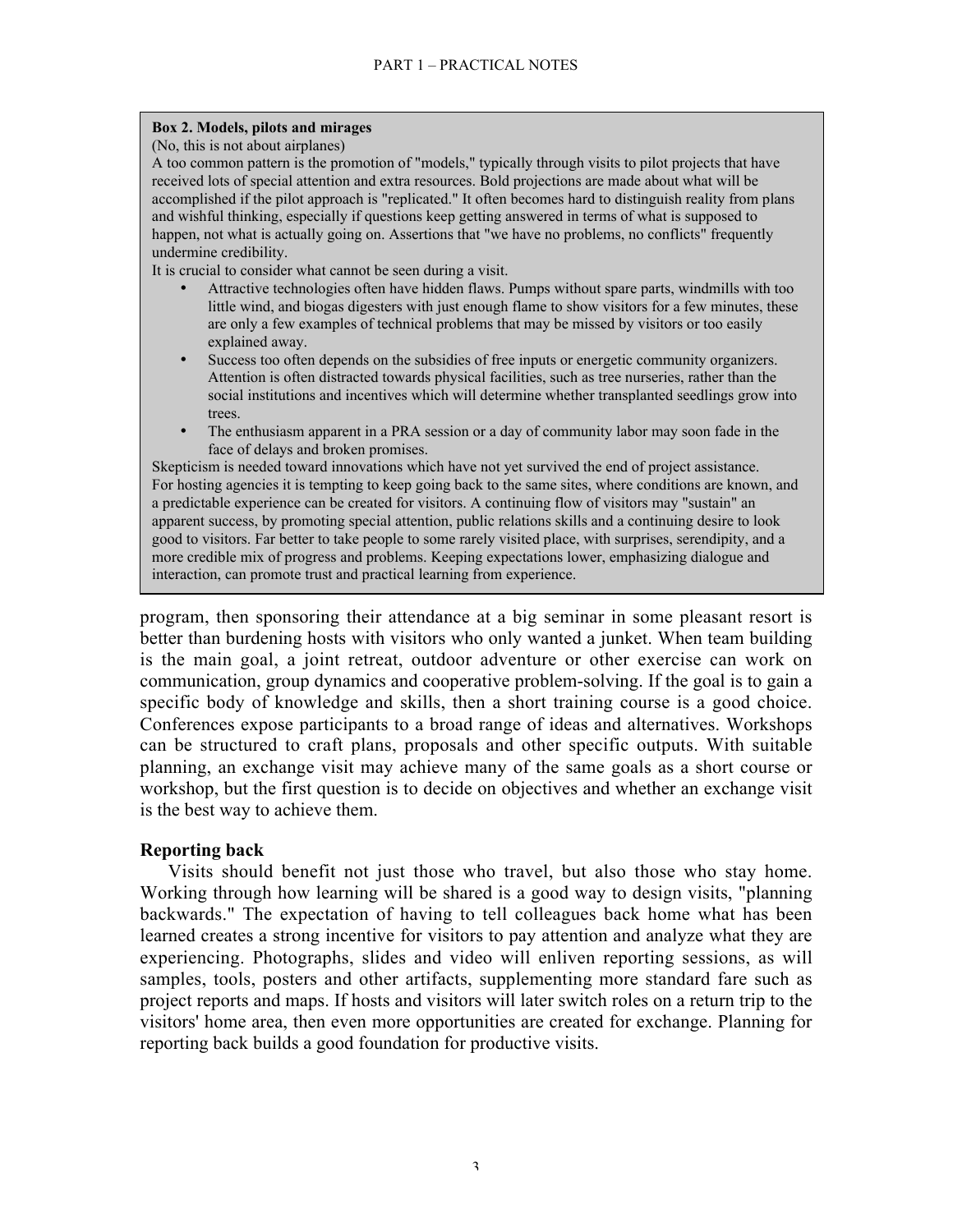## Box 2. Models, pilots and mirages

(No, this is not about airplanes)

A too common pattern is the promotion of "models," typically through visits to pilot projects that have received lots of special attention and extra resources. Bold projections are made about what will be accomplished if the pilot approach is "replicated." It often becomes hard to distinguish reality from plans and wishful thinking, especially if questions keep getting answered in terms of what is supposed to happen, not what is actually going on. Assertions that "we have no problems, no conflicts" frequently undermine credibility.

It is crucial to consider what cannot be seen during a visit.

- Attractive technologies often have hidden flaws. Pumps without spare parts, windmills with too little wind, and biogas digesters with just enough flame to show visitors for a few minutes, these are only a few examples of technical problems that may be missed by visitors or too easily explained away.
- Success too often depends on the subsidies of free inputs or energetic community organizers. Attention is often distracted towards physical facilities, such as tree nurseries, rather than the social institutions and incentives which will determine whether transplanted seedlings grow into trees.
- The enthusiasm apparent in a PRA session or a day of community labor may soon fade in the face of delays and broken promises.

Skepticism is needed toward innovations which have not yet survived the end of project assistance. For hosting agencies it is tempting to keep going back to the same sites, where conditions are known, and a predictable experience can be created for visitors. A continuing flow of visitors may "sustain" an apparent success, by promoting special attention, public relations skills and a continuing desire to look good to visitors. Far better to take people to some rarely visited place, with surprises, serendipity, and a more credible mix of progress and problems. Keeping expectations lower, emphasizing dialogue and interaction, can promote trust and practical learning from experience.

program, then sponsoring their attendance at a big seminar in some pleasant resort is better than burdening hosts with visitors who only wanted a junket. When team building is the main goal, a joint retreat, outdoor adventure or other exercise can work on communication, group dynamics and cooperative problem-solving. If the goal is to gain a specific body of knowledge and skills, then a short training course is a good choice. Conferences expose participants to a broad range of ideas and alternatives. Workshops can be structured to craft plans, proposals and other specific outputs. With suitable planning, an exchange visit may achieve many of the same goals as a short course or workshop, but the first question is to decide on objectives and whether an exchange visit is the best way to achieve them.

## Reporting back

Visits should benefit not just those who travel, but also those who stay home. Working through how learning will be shared is a good way to design visits, "planning backwards." The expectation of having to tell colleagues back home what has been learned creates a strong incentive for visitors to pay attention and analyze what they are experiencing. Photographs, slides and video will enliven reporting sessions, as will samples, tools, posters and other artifacts, supplementing more standard fare such as project reports and maps. If hosts and visitors will later switch roles on a return trip to the visitors' home area, then even more opportunities are created for exchange. Planning for reporting back builds a good foundation for productive visits.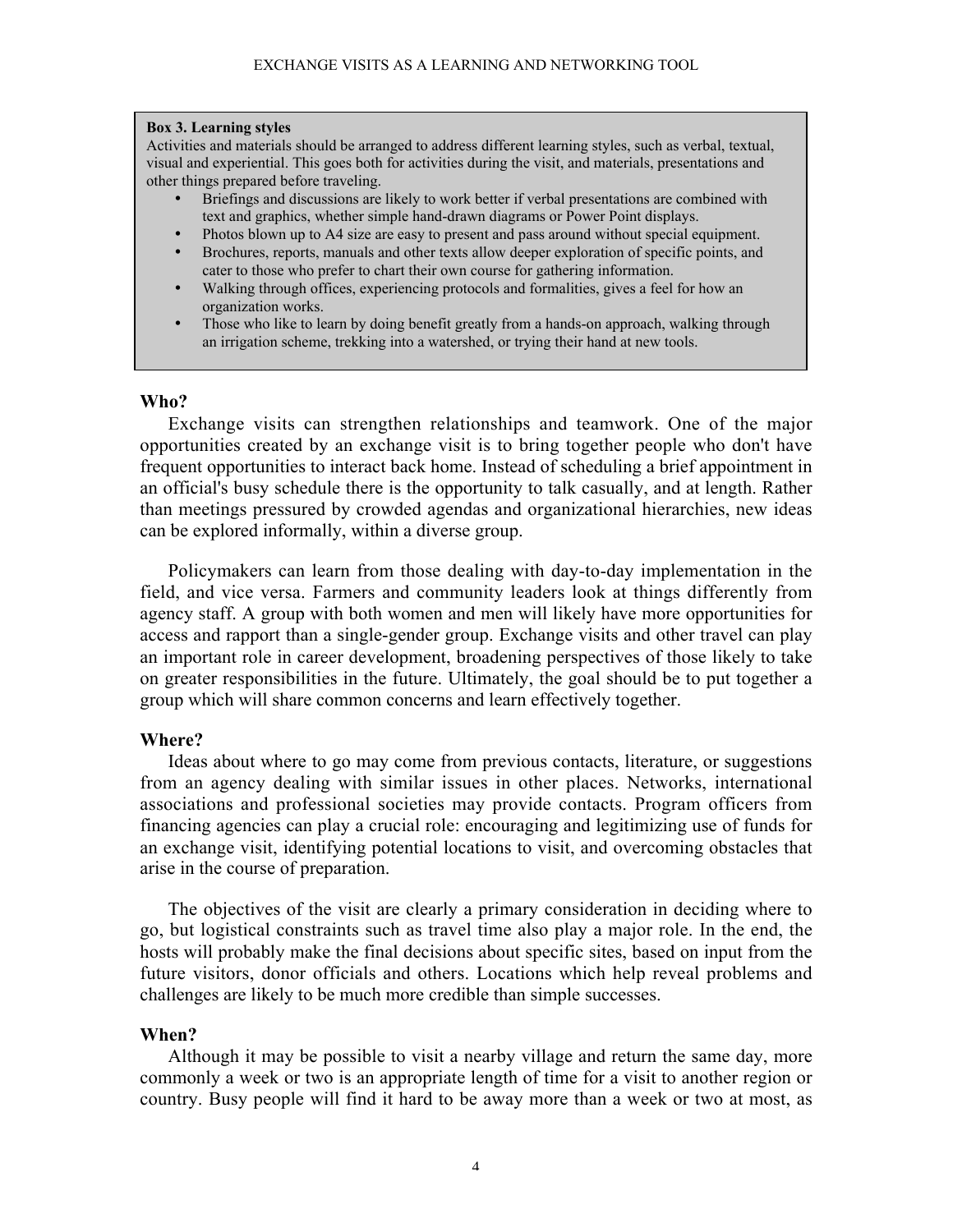## Box 3. Learning styles

Activities and materials should be arranged to address different learning styles, such as verbal, textual, visual and experiential. This goes both for activities during the visit, and materials, presentations and other things prepared before traveling.

- Briefings and discussions are likely to work better if verbal presentations are combined with text and graphics, whether simple hand-drawn diagrams or Power Point displays.
- Photos blown up to A4 size are easy to present and pass around without special equipment.
- Brochures, reports, manuals and other texts allow deeper exploration of specific points, and cater to those who prefer to chart their own course for gathering information.
- Walking through offices, experiencing protocols and formalities, gives a feel for how an organization works.
- Those who like to learn by doing benefit greatly from a hands-on approach, walking through an irrigation scheme, trekking into a watershed, or trying their hand at new tools.

## Who?

Exchange visits can strengthen relationships and teamwork. One of the major opportunities created by an exchange visit is to bring together people who don't have frequent opportunities to interact back home. Instead of scheduling a brief appointment in an official's busy schedule there is the opportunity to talk casually, and at length. Rather than meetings pressured by crowded agendas and organizational hierarchies, new ideas can be explored informally, within a diverse group.

Policymakers can learn from those dealing with day-to-day implementation in the field, and vice versa. Farmers and community leaders look at things differently from agency staff. A group with both women and men will likely have more opportunities for access and rapport than a single-gender group. Exchange visits and other travel can play an important role in career development, broadening perspectives of those likely to take on greater responsibilities in the future. Ultimately, the goal should be to put together a group which will share common concerns and learn effectively together.

## Where?

Ideas about where to go may come from previous contacts, literature, or suggestions from an agency dealing with similar issues in other places. Networks, international associations and professional societies may provide contacts. Program officers from financing agencies can play a crucial role: encouraging and legitimizing use of funds for an exchange visit, identifying potential locations to visit, and overcoming obstacles that arise in the course of preparation.

The objectives of the visit are clearly a primary consideration in deciding where to go, but logistical constraints such as travel time also play a major role. In the end, the hosts will probably make the final decisions about specific sites, based on input from the future visitors, donor officials and others. Locations which help reveal problems and challenges are likely to be much more credible than simple successes.

## When?

Although it may be possible to visit a nearby village and return the same day, more commonly a week or two is an appropriate length of time for a visit to another region or country. Busy people will find it hard to be away more than a week or two at most, as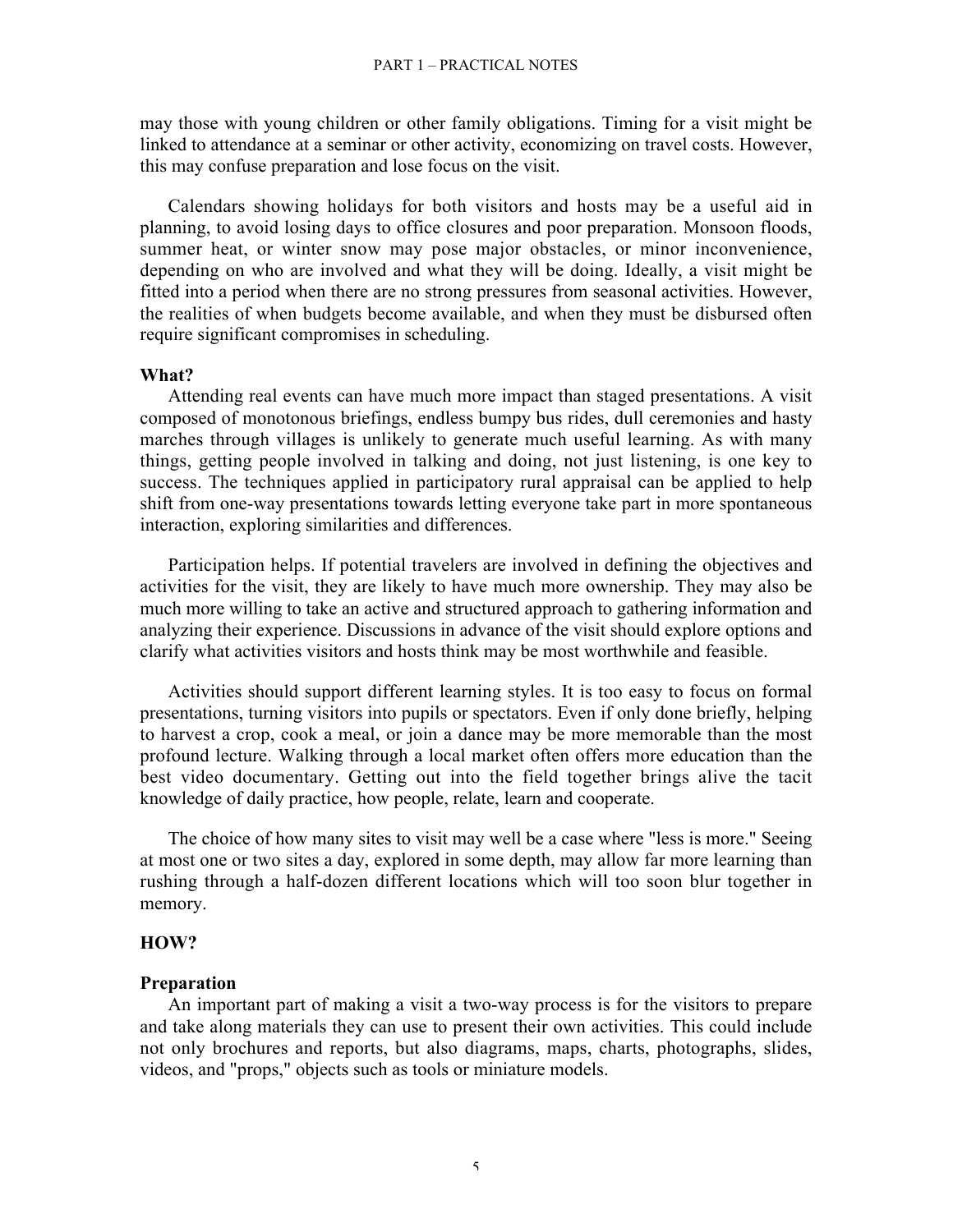may those with young children or other family obligations. Timing for a visit might be linked to attendance at a seminar or other activity, economizing on travel costs. However, this may confuse preparation and lose focus on the visit.

Calendars showing holidays for both visitors and hosts may be a useful aid in planning, to avoid losing days to office closures and poor preparation. Monsoon floods, summer heat, or winter snow may pose major obstacles, or minor inconvenience, depending on who are involved and what they will be doing. Ideally, a visit might be fitted into a period when there are no strong pressures from seasonal activities. However, the realities of when budgets become available, and when they must be disbursed often require significant compromises in scheduling.

## What?

Attending real events can have much more impact than staged presentations. A visit composed of monotonous briefings, endless bumpy bus rides, dull ceremonies and hasty marches through villages is unlikely to generate much useful learning. As with many things, getting people involved in talking and doing, not just listening, is one key to success. The techniques applied in participatory rural appraisal can be applied to help shift from one-way presentations towards letting everyone take part in more spontaneous interaction, exploring similarities and differences.

Participation helps. If potential travelers are involved in defining the objectives and activities for the visit, they are likely to have much more ownership. They may also be much more willing to take an active and structured approach to gathering information and analyzing their experience. Discussions in advance of the visit should explore options and clarify what activities visitors and hosts think may be most worthwhile and feasible.

Activities should support different learning styles. It is too easy to focus on formal presentations, turning visitors into pupils or spectators. Even if only done briefly, helping to harvest a crop, cook a meal, or join a dance may be more memorable than the most profound lecture. Walking through a local market often offers more education than the best video documentary. Getting out into the field together brings alive the tacit knowledge of daily practice, how people, relate, learn and cooperate.

The choice of how many sites to visit may well be a case where "less is more." Seeing at most one or two sites a day, explored in some depth, may allow far more learning than rushing through a half-dozen different locations which will too soon blur together in memory.

## HOW?

## Preparation

An important part of making a visit a two-way process is for the visitors to prepare and take along materials they can use to present their own activities. This could include not only brochures and reports, but also diagrams, maps, charts, photographs, slides, videos, and "props," objects such as tools or miniature models.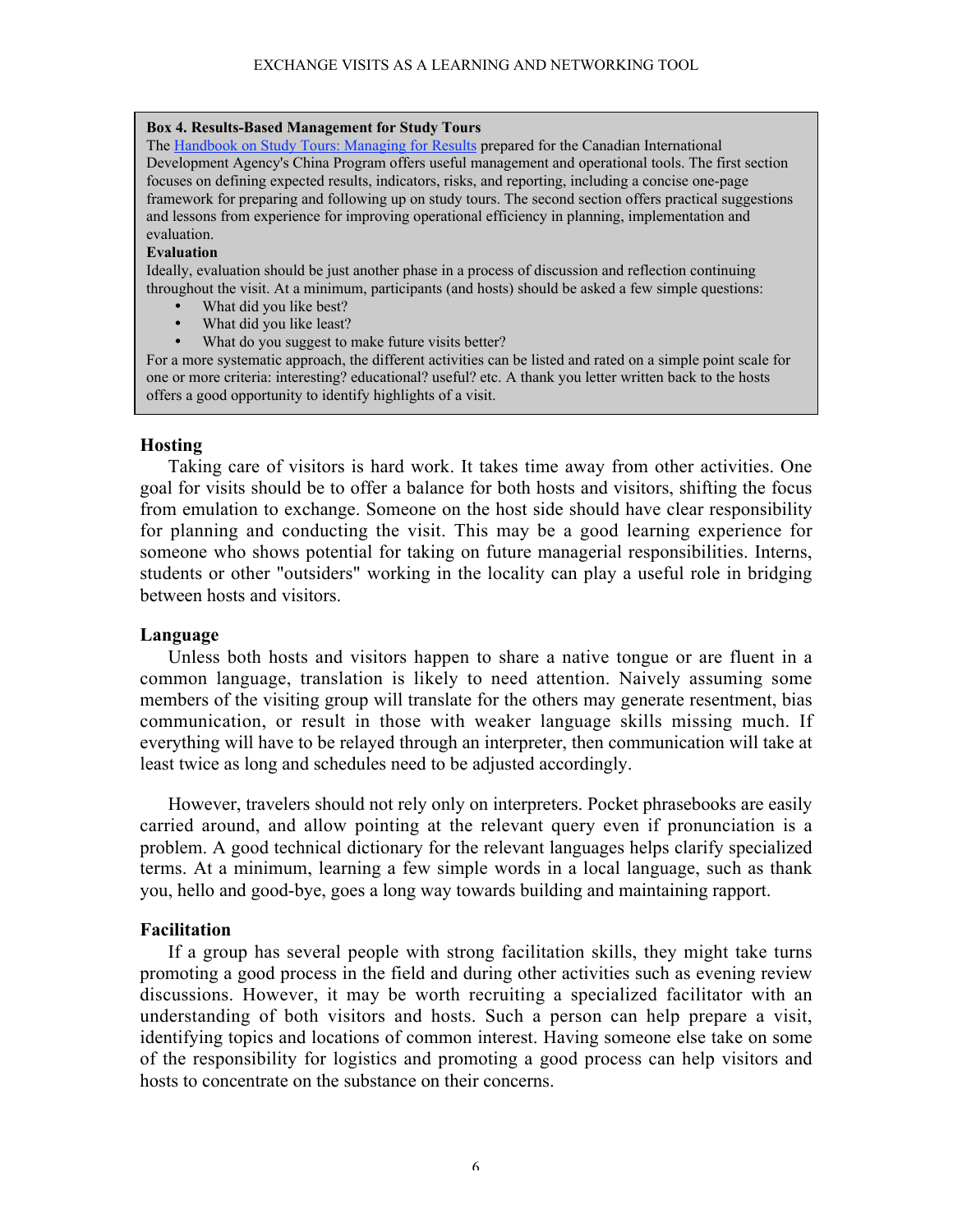## Box 4. Results-Based Management for Study Tours

The Handbook on Study Tours: Managing for Results prepared for the Canadian International Development Agency's China Program offers useful management and operational tools. The first section focuses on defining expected results, indicators, risks, and reporting, including a concise one-page framework for preparing and following up on study tours. The second section offers practical suggestions and lessons from experience for improving operational efficiency in planning, implementation and evaluation.

## Evaluation

Ideally, evaluation should be just another phase in a process of discussion and reflection continuing throughout the visit. At a minimum, participants (and hosts) should be asked a few simple questions:

- What did you like best?
- What did you like least?
- What do you suggest to make future visits better?

For a more systematic approach, the different activities can be listed and rated on a simple point scale for one or more criteria: interesting? educational? useful? etc. A thank you letter written back to the hosts offers a good opportunity to identify highlights of a visit.

## **Hosting**

Taking care of visitors is hard work. It takes time away from other activities. One goal for visits should be to offer a balance for both hosts and visitors, shifting the focus from emulation to exchange. Someone on the host side should have clear responsibility for planning and conducting the visit. This may be a good learning experience for someone who shows potential for taking on future managerial responsibilities. Interns, students or other "outsiders" working in the locality can play a useful role in bridging between hosts and visitors.

## Language

Unless both hosts and visitors happen to share a native tongue or are fluent in a common language, translation is likely to need attention. Naively assuming some members of the visiting group will translate for the others may generate resentment, bias communication, or result in those with weaker language skills missing much. If everything will have to be relayed through an interpreter, then communication will take at least twice as long and schedules need to be adjusted accordingly.

However, travelers should not rely only on interpreters. Pocket phrasebooks are easily carried around, and allow pointing at the relevant query even if pronunciation is a problem. A good technical dictionary for the relevant languages helps clarify specialized terms. At a minimum, learning a few simple words in a local language, such as thank you, hello and good-bye, goes a long way towards building and maintaining rapport.

## Facilitation

If a group has several people with strong facilitation skills, they might take turns promoting a good process in the field and during other activities such as evening review discussions. However, it may be worth recruiting a specialized facilitator with an understanding of both visitors and hosts. Such a person can help prepare a visit, identifying topics and locations of common interest. Having someone else take on some of the responsibility for logistics and promoting a good process can help visitors and hosts to concentrate on the substance on their concerns.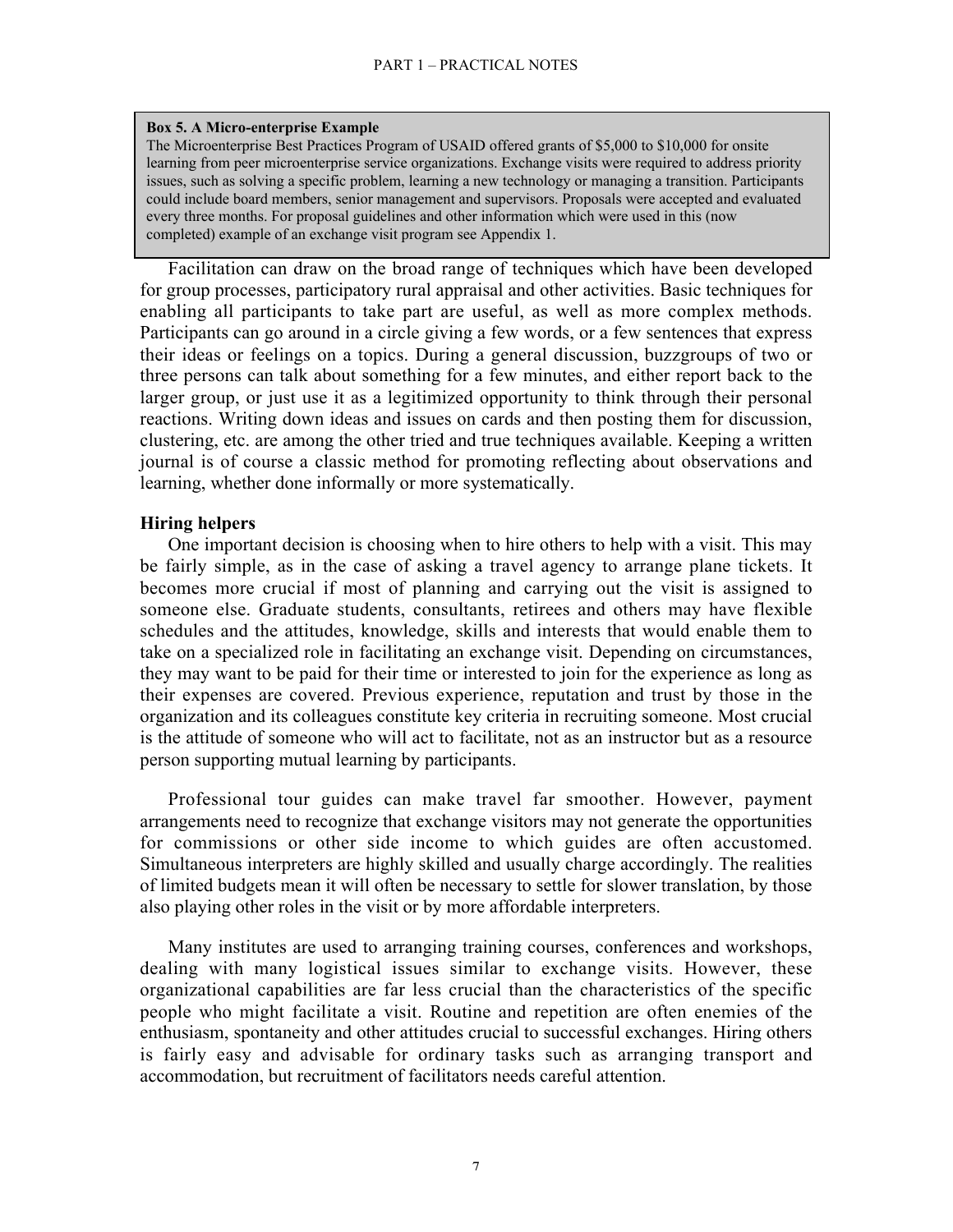### Box 5. A Micro-enterprise Example

The Microenterprise Best Practices Program of USAID offered grants of \$5,000 to \$10,000 for onsite learning from peer microenterprise service organizations. Exchange visits were required to address priority issues, such as solving a specific problem, learning a new technology or managing a transition. Participants could include board members, senior management and supervisors. Proposals were accepted and evaluated every three months. For proposal guidelines and other information which were used in this (now completed) example of an exchange visit program see Appendix 1.

Facilitation can draw on the broad range of techniques which have been developed for group processes, participatory rural appraisal and other activities. Basic techniques for enabling all participants to take part are useful, as well as more complex methods. Participants can go around in a circle giving a few words, or a few sentences that express their ideas or feelings on a topics. During a general discussion, buzzgroups of two or three persons can talk about something for a few minutes, and either report back to the larger group, or just use it as a legitimized opportunity to think through their personal reactions. Writing down ideas and issues on cards and then posting them for discussion, clustering, etc. are among the other tried and true techniques available. Keeping a written journal is of course a classic method for promoting reflecting about observations and learning, whether done informally or more systematically.

## Hiring helpers

One important decision is choosing when to hire others to help with a visit. This may be fairly simple, as in the case of asking a travel agency to arrange plane tickets. It becomes more crucial if most of planning and carrying out the visit is assigned to someone else. Graduate students, consultants, retirees and others may have flexible schedules and the attitudes, knowledge, skills and interests that would enable them to take on a specialized role in facilitating an exchange visit. Depending on circumstances, they may want to be paid for their time or interested to join for the experience as long as their expenses are covered. Previous experience, reputation and trust by those in the organization and its colleagues constitute key criteria in recruiting someone. Most crucial is the attitude of someone who will act to facilitate, not as an instructor but as a resource person supporting mutual learning by participants.

Professional tour guides can make travel far smoother. However, payment arrangements need to recognize that exchange visitors may not generate the opportunities for commissions or other side income to which guides are often accustomed. Simultaneous interpreters are highly skilled and usually charge accordingly. The realities of limited budgets mean it will often be necessary to settle for slower translation, by those also playing other roles in the visit or by more affordable interpreters.

Many institutes are used to arranging training courses, conferences and workshops, dealing with many logistical issues similar to exchange visits. However, these organizational capabilities are far less crucial than the characteristics of the specific people who might facilitate a visit. Routine and repetition are often enemies of the enthusiasm, spontaneity and other attitudes crucial to successful exchanges. Hiring others is fairly easy and advisable for ordinary tasks such as arranging transport and accommodation, but recruitment of facilitators needs careful attention.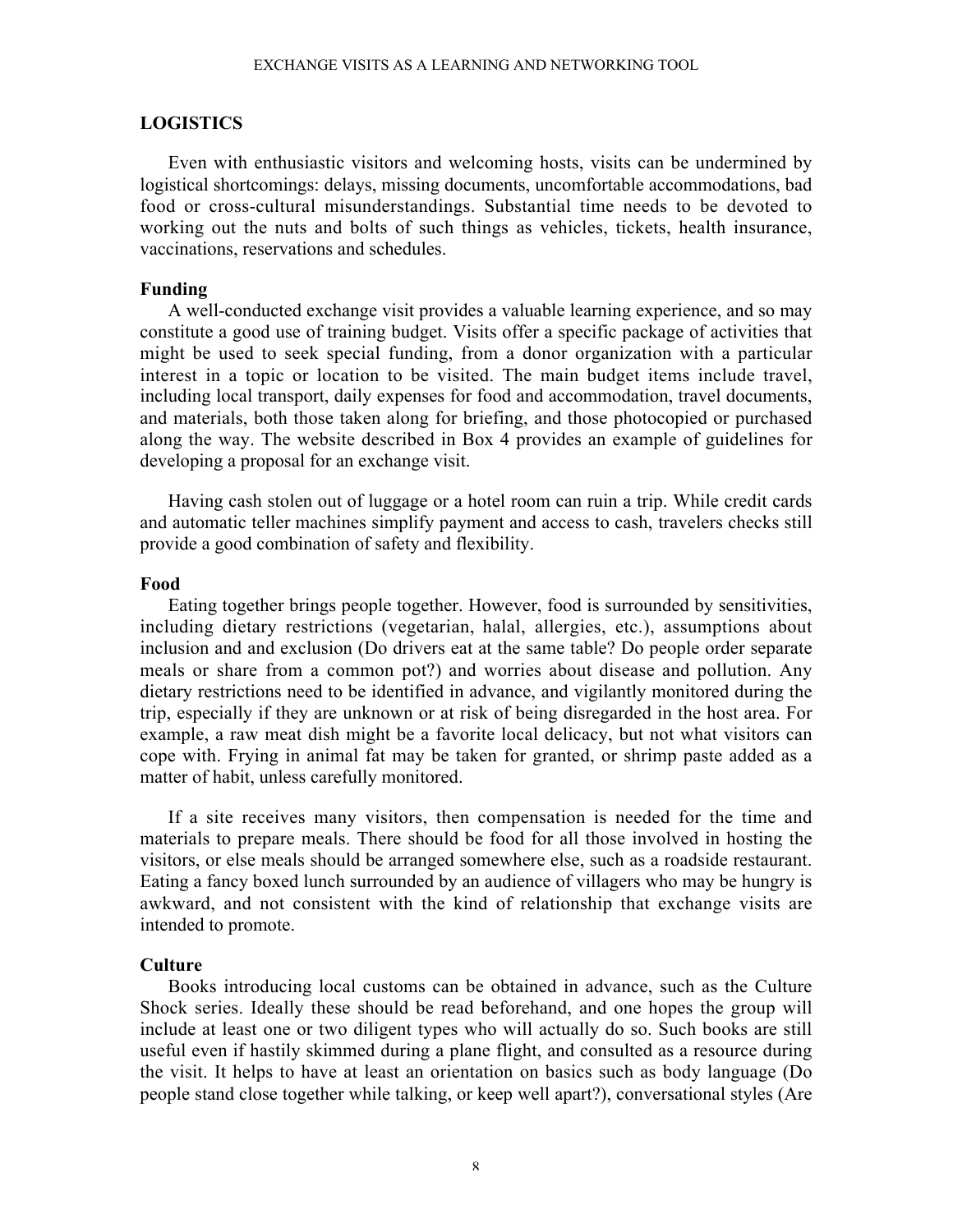## LOGISTICS

Even with enthusiastic visitors and welcoming hosts, visits can be undermined by logistical shortcomings: delays, missing documents, uncomfortable accommodations, bad food or cross-cultural misunderstandings. Substantial time needs to be devoted to working out the nuts and bolts of such things as vehicles, tickets, health insurance, vaccinations, reservations and schedules.

## Funding

A well-conducted exchange visit provides a valuable learning experience, and so may constitute a good use of training budget. Visits offer a specific package of activities that might be used to seek special funding, from a donor organization with a particular interest in a topic or location to be visited. The main budget items include travel, including local transport, daily expenses for food and accommodation, travel documents, and materials, both those taken along for briefing, and those photocopied or purchased along the way. The website described in Box 4 provides an example of guidelines for developing a proposal for an exchange visit.

Having cash stolen out of luggage or a hotel room can ruin a trip. While credit cards and automatic teller machines simplify payment and access to cash, travelers checks still provide a good combination of safety and flexibility.

## Food

Eating together brings people together. However, food is surrounded by sensitivities, including dietary restrictions (vegetarian, halal, allergies, etc.), assumptions about inclusion and and exclusion (Do drivers eat at the same table? Do people order separate meals or share from a common pot?) and worries about disease and pollution. Any dietary restrictions need to be identified in advance, and vigilantly monitored during the trip, especially if they are unknown or at risk of being disregarded in the host area. For example, a raw meat dish might be a favorite local delicacy, but not what visitors can cope with. Frying in animal fat may be taken for granted, or shrimp paste added as a matter of habit, unless carefully monitored.

If a site receives many visitors, then compensation is needed for the time and materials to prepare meals. There should be food for all those involved in hosting the visitors, or else meals should be arranged somewhere else, such as a roadside restaurant. Eating a fancy boxed lunch surrounded by an audience of villagers who may be hungry is awkward, and not consistent with the kind of relationship that exchange visits are intended to promote.

## **Culture**

Books introducing local customs can be obtained in advance, such as the Culture Shock series. Ideally these should be read beforehand, and one hopes the group will include at least one or two diligent types who will actually do so. Such books are still useful even if hastily skimmed during a plane flight, and consulted as a resource during the visit. It helps to have at least an orientation on basics such as body language (Do people stand close together while talking, or keep well apart?), conversational styles (Are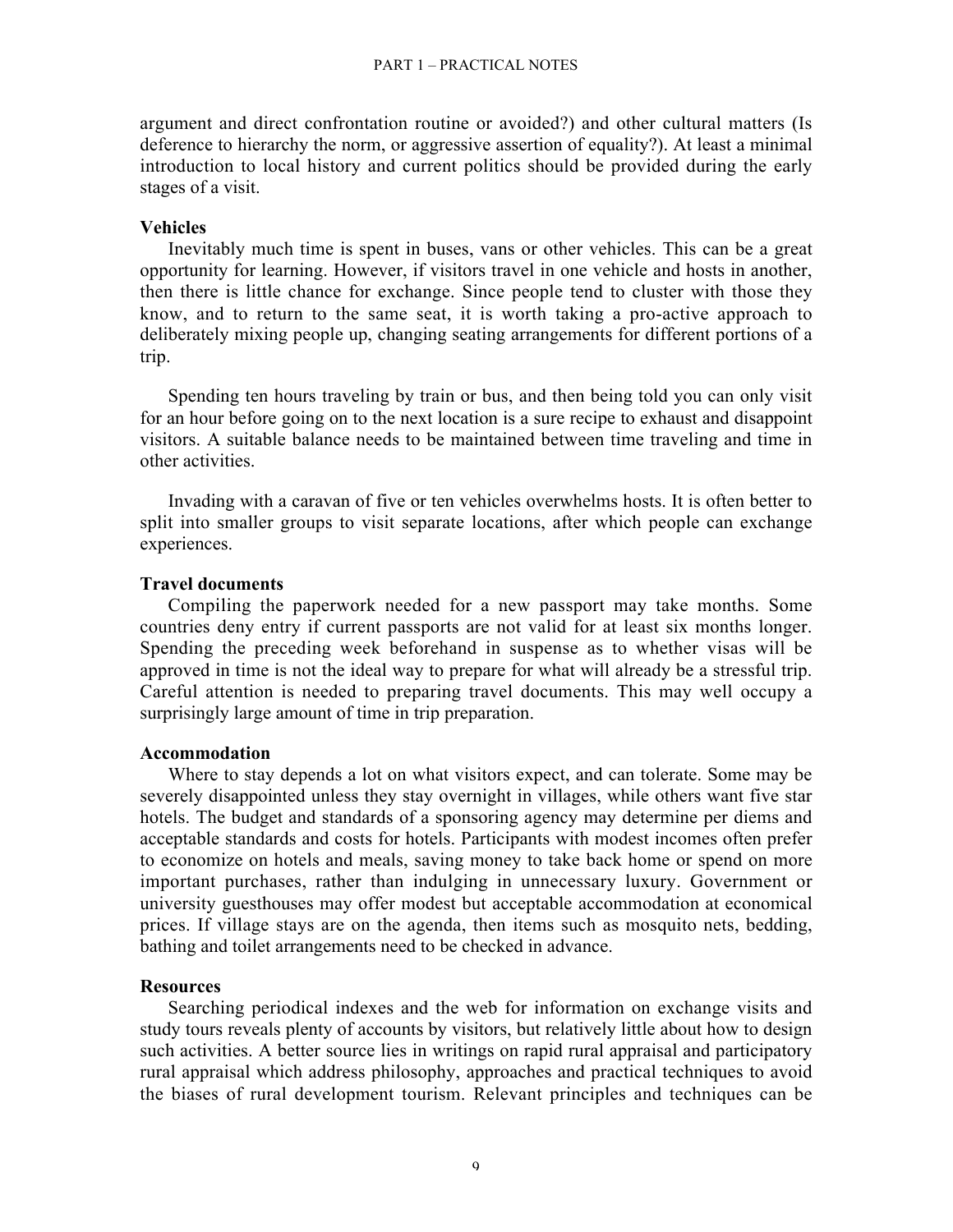argument and direct confrontation routine or avoided?) and other cultural matters (Is deference to hierarchy the norm, or aggressive assertion of equality?). At least a minimal introduction to local history and current politics should be provided during the early stages of a visit.

## **Vehicles**

Inevitably much time is spent in buses, vans or other vehicles. This can be a great opportunity for learning. However, if visitors travel in one vehicle and hosts in another, then there is little chance for exchange. Since people tend to cluster with those they know, and to return to the same seat, it is worth taking a pro-active approach to deliberately mixing people up, changing seating arrangements for different portions of a trip.

Spending ten hours traveling by train or bus, and then being told you can only visit for an hour before going on to the next location is a sure recipe to exhaust and disappoint visitors. A suitable balance needs to be maintained between time traveling and time in other activities.

Invading with a caravan of five or ten vehicles overwhelms hosts. It is often better to split into smaller groups to visit separate locations, after which people can exchange experiences.

## Travel documents

Compiling the paperwork needed for a new passport may take months. Some countries deny entry if current passports are not valid for at least six months longer. Spending the preceding week beforehand in suspense as to whether visas will be approved in time is not the ideal way to prepare for what will already be a stressful trip. Careful attention is needed to preparing travel documents. This may well occupy a surprisingly large amount of time in trip preparation.

## Accommodation

Where to stay depends a lot on what visitors expect, and can tolerate. Some may be severely disappointed unless they stay overnight in villages, while others want five star hotels. The budget and standards of a sponsoring agency may determine per diems and acceptable standards and costs for hotels. Participants with modest incomes often prefer to economize on hotels and meals, saving money to take back home or spend on more important purchases, rather than indulging in unnecessary luxury. Government or university guesthouses may offer modest but acceptable accommodation at economical prices. If village stays are on the agenda, then items such as mosquito nets, bedding, bathing and toilet arrangements need to be checked in advance.

## **Resources**

Searching periodical indexes and the web for information on exchange visits and study tours reveals plenty of accounts by visitors, but relatively little about how to design such activities. A better source lies in writings on rapid rural appraisal and participatory rural appraisal which address philosophy, approaches and practical techniques to avoid the biases of rural development tourism. Relevant principles and techniques can be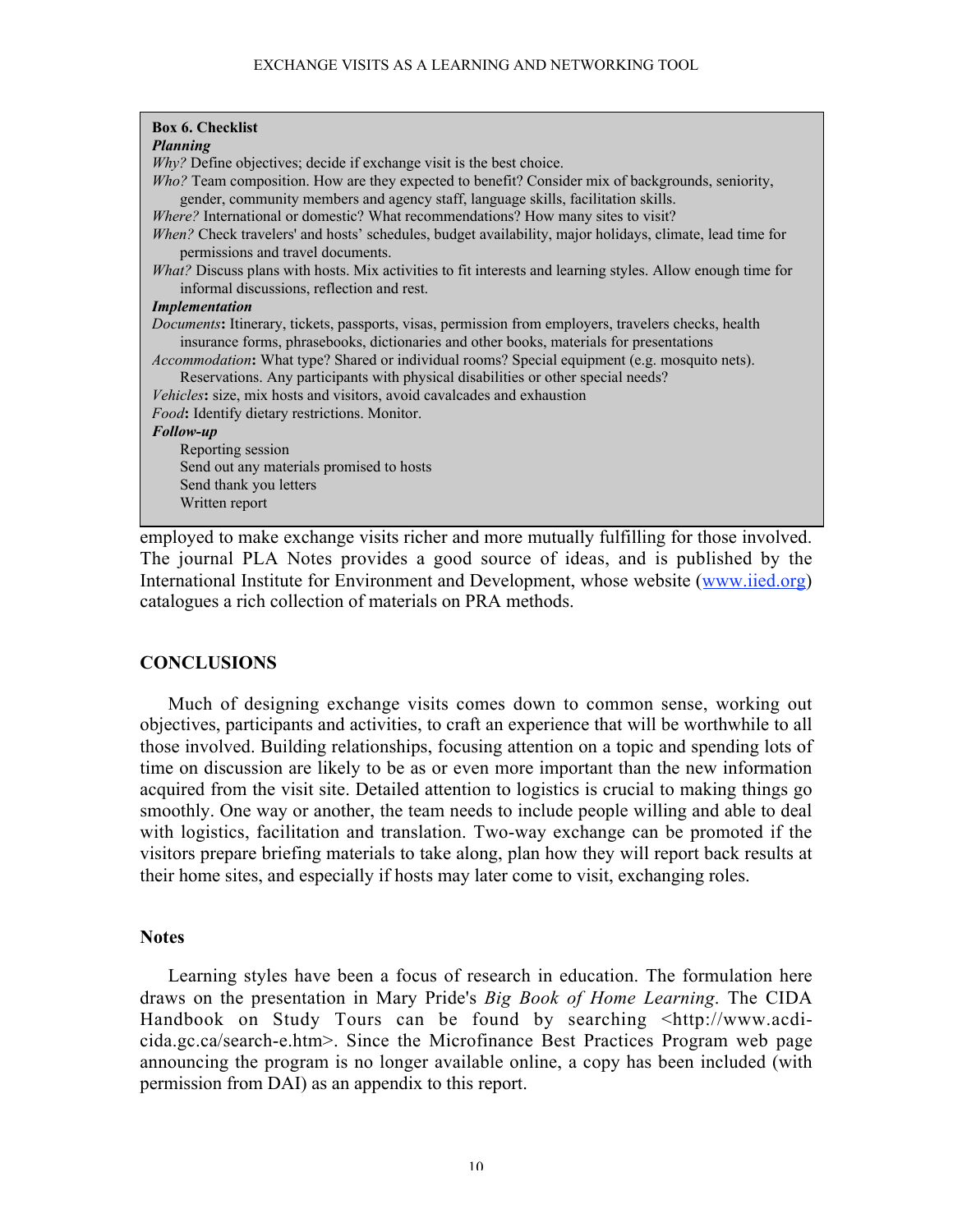| <b>Box 6. Checklist</b>                                                                                                                                                                                |
|--------------------------------------------------------------------------------------------------------------------------------------------------------------------------------------------------------|
| <b>Planning</b>                                                                                                                                                                                        |
| $Why?$ Define objectives; decide if exchange visit is the best choice.                                                                                                                                 |
| $Who$ ? Team composition. How are they expected to benefit? Consider mix of backgrounds, seniority,<br>gender, community members and agency staff, language skills, facilitation skills.               |
| Where? International or domestic? What recommendations? How many sites to visit?                                                                                                                       |
| When? Check travelers' and hosts' schedules, budget availability, major holidays, climate, lead time for<br>permissions and travel documents.                                                          |
| What? Discuss plans with hosts. Mix activities to fit interests and learning styles. Allow enough time for<br>informal discussions, reflection and rest.                                               |
| <b>Implementation</b>                                                                                                                                                                                  |
| <i>Documents:</i> Itinerary, tickets, passports, visas, permission from employers, travelers checks, health<br>insurance forms, phrasebooks, dictionaries and other books, materials for presentations |
| <i>Accommodation</i> : What type? Shared or individual rooms? Special equipment (e.g. mosquito nets).<br>Reservations. Any participants with physical disabilities or other special needs?             |
| Vehicles: size, mix hosts and visitors, avoid cavalcades and exhaustion                                                                                                                                |
| Food: Identify dietary restrictions. Monitor.                                                                                                                                                          |
| Follow-up                                                                                                                                                                                              |
| Reporting session                                                                                                                                                                                      |
| Send out any materials promised to hosts                                                                                                                                                               |
| Send thank you letters                                                                                                                                                                                 |
| Written report                                                                                                                                                                                         |
|                                                                                                                                                                                                        |
| employed to make exchange visits richer and more mutually fulfilling for those involved.                                                                                                               |
| The journal DI A Notes provides a good source of ideas and is published by the                                                                                                                         |

The journal PLA Notes provides a good source of ideas, and is published by the International Institute for Environment and Development, whose website (www.iied.org) catalogues a rich collection of materials on PRA methods.

## **CONCLUSIONS**

Much of designing exchange visits comes down to common sense, working out objectives, participants and activities, to craft an experience that will be worthwhile to all those involved. Building relationships, focusing attention on a topic and spending lots of time on discussion are likely to be as or even more important than the new information acquired from the visit site. Detailed attention to logistics is crucial to making things go smoothly. One way or another, the team needs to include people willing and able to deal with logistics, facilitation and translation. Two-way exchange can be promoted if the visitors prepare briefing materials to take along, plan how they will report back results at their home sites, and especially if hosts may later come to visit, exchanging roles.

## **Notes**

Learning styles have been a focus of research in education. The formulation here draws on the presentation in Mary Pride's *Big Book of Home Learning*. The CIDA Handbook on Study Tours can be found by searching <http://www.acdicida.gc.ca/search-e.htm>. Since the Microfinance Best Practices Program web page announcing the program is no longer available online, a copy has been included (with permission from DAI) as an appendix to this report.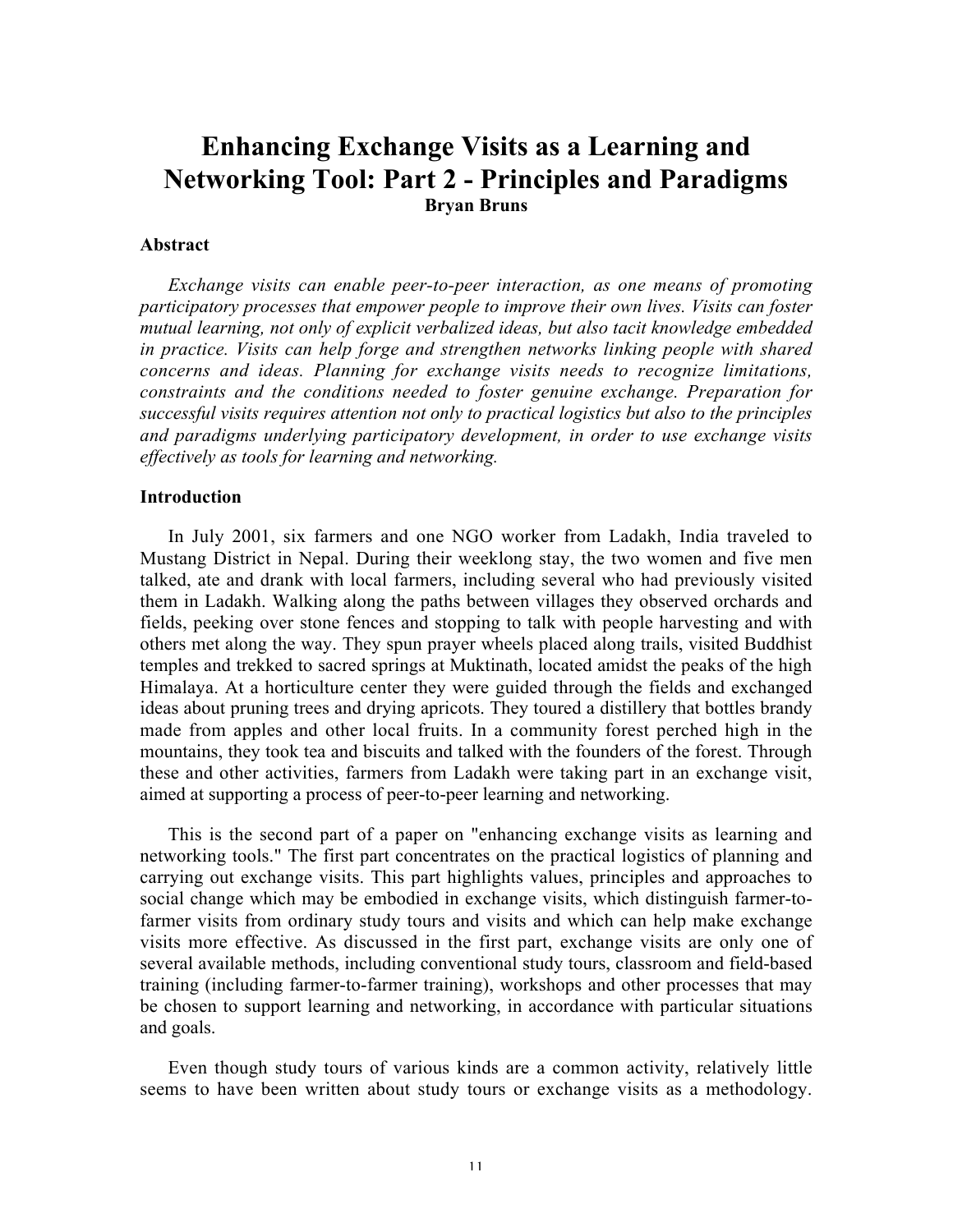## Enhancing Exchange Visits as a Learning and Networking Tool: Part 2 - Principles and Paradigms Bryan Bruns

## Abstract

*Exchange visits can enable peer-to-peer interaction, as one means of promoting participatory processes that empower people to improve their own lives. Visits can foster mutual learning, not only of explicit verbalized ideas, but also tacit knowledge embedded in practice. Visits can help forge and strengthen networks linking people with shared concerns and ideas. Planning for exchange visits needs to recognize limitations, constraints and the conditions needed to foster genuine exchange. Preparation for successful visits requires attention not only to practical logistics but also to the principles and paradigms underlying participatory development, in order to use exchange visits effectively as tools for learning and networking.*

## Introduction

In July 2001, six farmers and one NGO worker from Ladakh, India traveled to Mustang District in Nepal. During their weeklong stay, the two women and five men talked, ate and drank with local farmers, including several who had previously visited them in Ladakh. Walking along the paths between villages they observed orchards and fields, peeking over stone fences and stopping to talk with people harvesting and with others met along the way. They spun prayer wheels placed along trails, visited Buddhist temples and trekked to sacred springs at Muktinath, located amidst the peaks of the high Himalaya. At a horticulture center they were guided through the fields and exchanged ideas about pruning trees and drying apricots. They toured a distillery that bottles brandy made from apples and other local fruits. In a community forest perched high in the mountains, they took tea and biscuits and talked with the founders of the forest. Through these and other activities, farmers from Ladakh were taking part in an exchange visit, aimed at supporting a process of peer-to-peer learning and networking.

This is the second part of a paper on "enhancing exchange visits as learning and networking tools." The first part concentrates on the practical logistics of planning and carrying out exchange visits. This part highlights values, principles and approaches to social change which may be embodied in exchange visits, which distinguish farmer-tofarmer visits from ordinary study tours and visits and which can help make exchange visits more effective. As discussed in the first part, exchange visits are only one of several available methods, including conventional study tours, classroom and field-based training (including farmer-to-farmer training), workshops and other processes that may be chosen to support learning and networking, in accordance with particular situations and goals.

Even though study tours of various kinds are a common activity, relatively little seems to have been written about study tours or exchange visits as a methodology.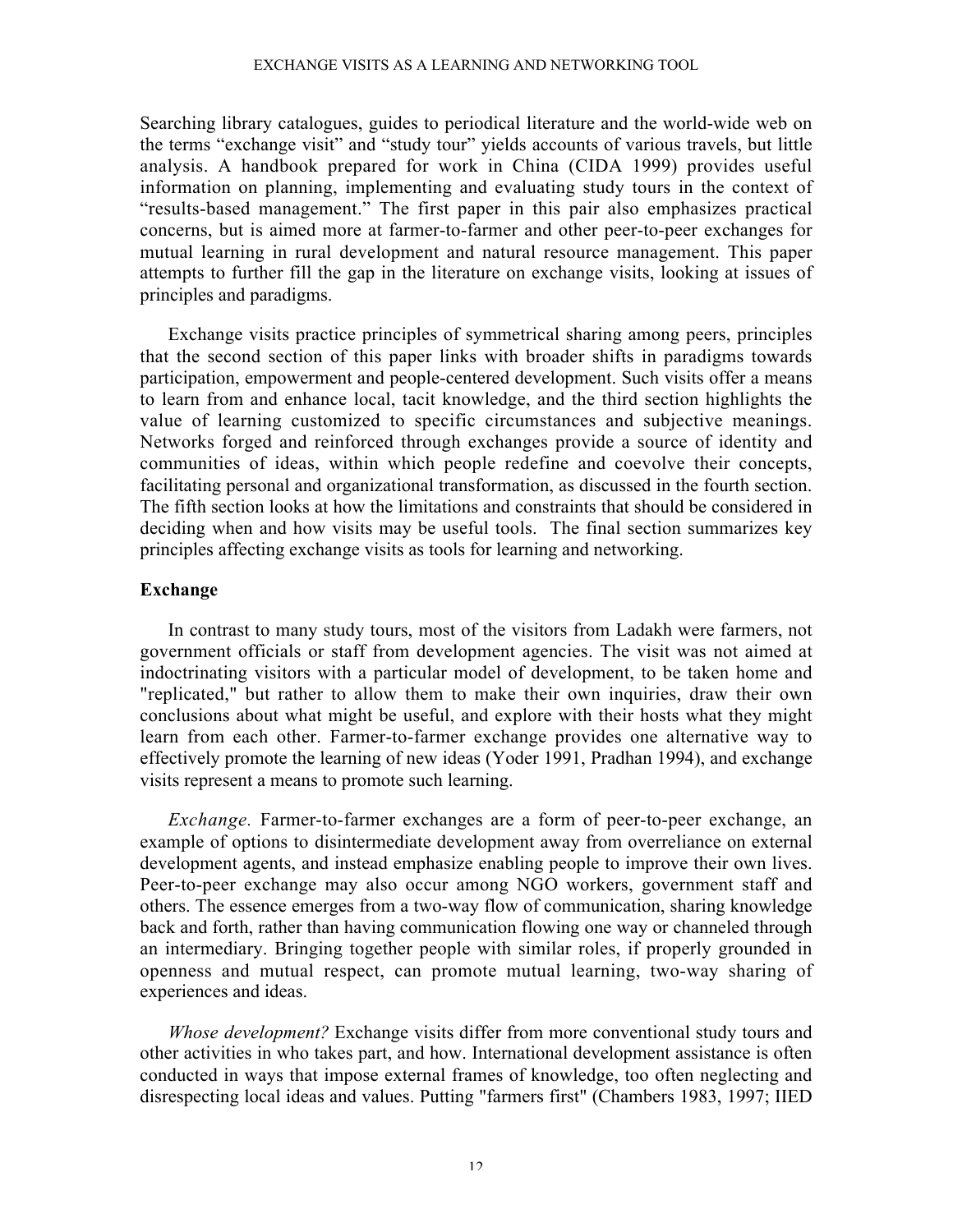### EXCHANGE VISITS AS A LEARNING AND NETWORKING TOOL

Searching library catalogues, guides to periodical literature and the world-wide web on the terms "exchange visit" and "study tour" yields accounts of various travels, but little analysis. A handbook prepared for work in China (CIDA 1999) provides useful information on planning, implementing and evaluating study tours in the context of "results-based management." The first paper in this pair also emphasizes practical concerns, but is aimed more at farmer-to-farmer and other peer-to-peer exchanges for mutual learning in rural development and natural resource management. This paper attempts to further fill the gap in the literature on exchange visits, looking at issues of principles and paradigms.

Exchange visits practice principles of symmetrical sharing among peers, principles that the second section of this paper links with broader shifts in paradigms towards participation, empowerment and people-centered development. Such visits offer a means to learn from and enhance local, tacit knowledge, and the third section highlights the value of learning customized to specific circumstances and subjective meanings. Networks forged and reinforced through exchanges provide a source of identity and communities of ideas, within which people redefine and coevolve their concepts, facilitating personal and organizational transformation, as discussed in the fourth section. The fifth section looks at how the limitations and constraints that should be considered in deciding when and how visits may be useful tools. The final section summarizes key principles affecting exchange visits as tools for learning and networking.

## Exchange

In contrast to many study tours, most of the visitors from Ladakh were farmers, not government officials or staff from development agencies. The visit was not aimed at indoctrinating visitors with a particular model of development, to be taken home and "replicated," but rather to allow them to make their own inquiries, draw their own conclusions about what might be useful, and explore with their hosts what they might learn from each other. Farmer-to-farmer exchange provides one alternative way to effectively promote the learning of new ideas (Yoder 1991, Pradhan 1994), and exchange visits represent a means to promote such learning.

*Exchange.* Farmer-to-farmer exchanges are a form of peer-to-peer exchange, an example of options to disintermediate development away from overreliance on external development agents, and instead emphasize enabling people to improve their own lives. Peer-to-peer exchange may also occur among NGO workers, government staff and others. The essence emerges from a two-way flow of communication, sharing knowledge back and forth, rather than having communication flowing one way or channeled through an intermediary. Bringing together people with similar roles, if properly grounded in openness and mutual respect, can promote mutual learning, two-way sharing of experiences and ideas.

*Whose development?* Exchange visits differ from more conventional study tours and other activities in who takes part, and how. International development assistance is often conducted in ways that impose external frames of knowledge, too often neglecting and disrespecting local ideas and values. Putting "farmers first" (Chambers 1983, 1997; IIED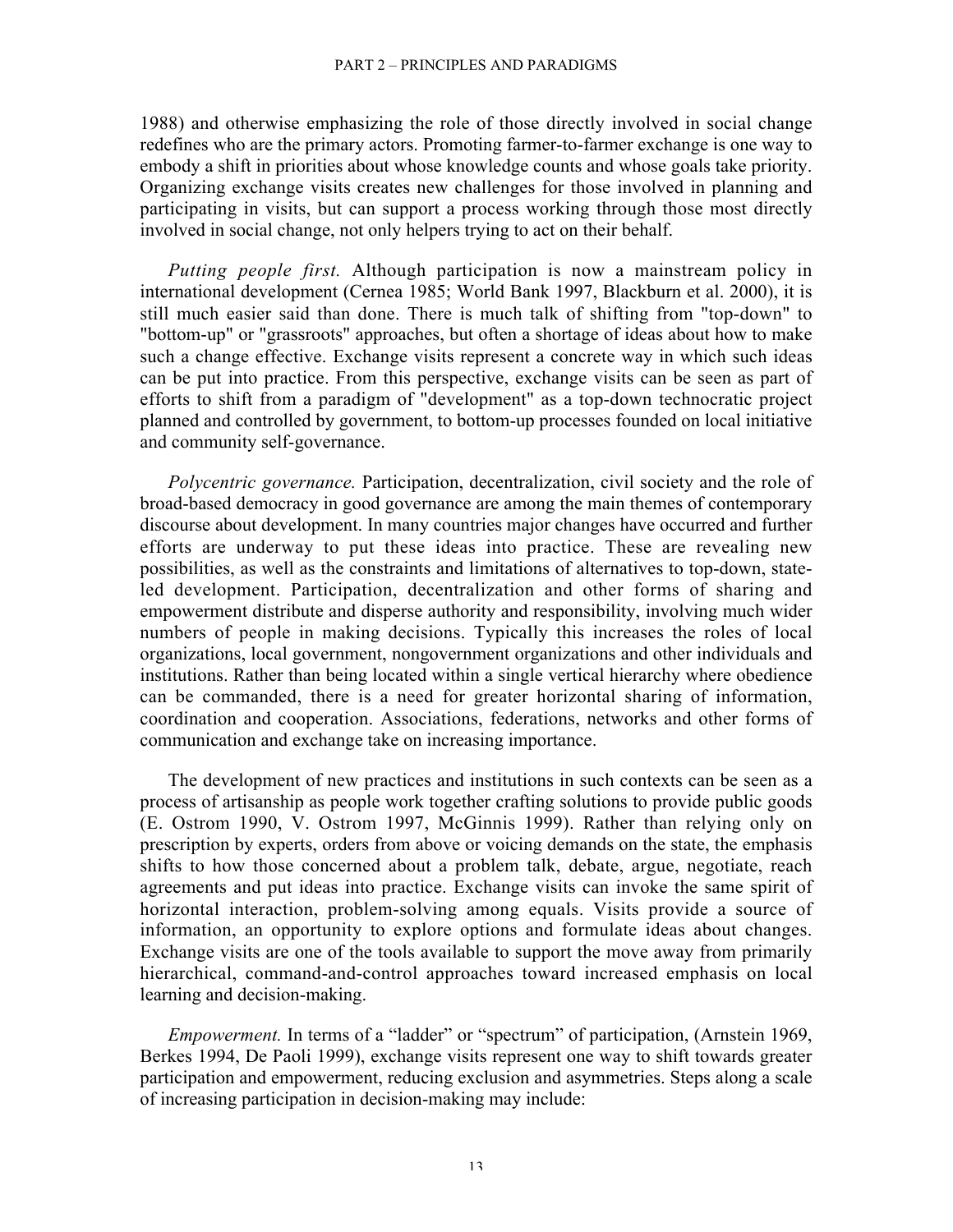1988) and otherwise emphasizing the role of those directly involved in social change redefines who are the primary actors. Promoting farmer-to-farmer exchange is one way to embody a shift in priorities about whose knowledge counts and whose goals take priority. Organizing exchange visits creates new challenges for those involved in planning and participating in visits, but can support a process working through those most directly involved in social change, not only helpers trying to act on their behalf.

*Putting people first.* Although participation is now a mainstream policy in international development (Cernea 1985; World Bank 1997, Blackburn et al. 2000), it is still much easier said than done. There is much talk of shifting from "top-down" to "bottom-up" or "grassroots" approaches, but often a shortage of ideas about how to make such a change effective. Exchange visits represent a concrete way in which such ideas can be put into practice. From this perspective, exchange visits can be seen as part of efforts to shift from a paradigm of "development" as a top-down technocratic project planned and controlled by government, to bottom-up processes founded on local initiative and community self-governance.

*Polycentric governance.* Participation, decentralization, civil society and the role of broad-based democracy in good governance are among the main themes of contemporary discourse about development. In many countries major changes have occurred and further efforts are underway to put these ideas into practice. These are revealing new possibilities, as well as the constraints and limitations of alternatives to top-down, stateled development. Participation, decentralization and other forms of sharing and empowerment distribute and disperse authority and responsibility, involving much wider numbers of people in making decisions. Typically this increases the roles of local organizations, local government, nongovernment organizations and other individuals and institutions. Rather than being located within a single vertical hierarchy where obedience can be commanded, there is a need for greater horizontal sharing of information, coordination and cooperation. Associations, federations, networks and other forms of communication and exchange take on increasing importance.

The development of new practices and institutions in such contexts can be seen as a process of artisanship as people work together crafting solutions to provide public goods (E. Ostrom 1990, V. Ostrom 1997, McGinnis 1999). Rather than relying only on prescription by experts, orders from above or voicing demands on the state, the emphasis shifts to how those concerned about a problem talk, debate, argue, negotiate, reach agreements and put ideas into practice. Exchange visits can invoke the same spirit of horizontal interaction, problem-solving among equals. Visits provide a source of information, an opportunity to explore options and formulate ideas about changes. Exchange visits are one of the tools available to support the move away from primarily hierarchical, command-and-control approaches toward increased emphasis on local learning and decision-making.

*Empowerment.* In terms of a "ladder" or "spectrum" of participation, (Arnstein 1969, Berkes 1994, De Paoli 1999), exchange visits represent one way to shift towards greater participation and empowerment, reducing exclusion and asymmetries. Steps along a scale of increasing participation in decision-making may include: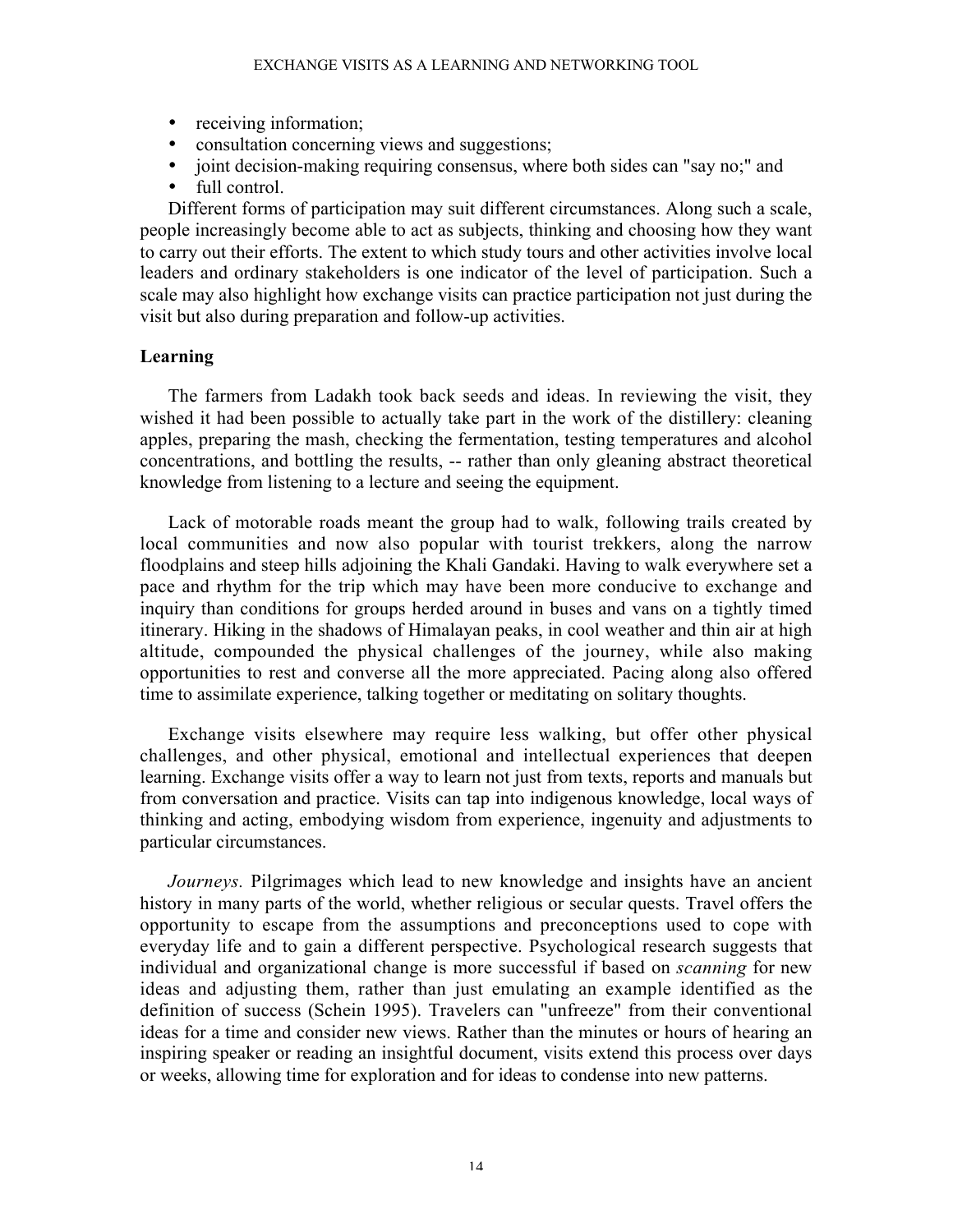- receiving information;
- consultation concerning views and suggestions;
- joint decision-making requiring consensus, where both sides can "say no;" and
- full control.

Different forms of participation may suit different circumstances. Along such a scale, people increasingly become able to act as subjects, thinking and choosing how they want to carry out their efforts. The extent to which study tours and other activities involve local leaders and ordinary stakeholders is one indicator of the level of participation. Such a scale may also highlight how exchange visits can practice participation not just during the visit but also during preparation and follow-up activities.

## Learning

The farmers from Ladakh took back seeds and ideas. In reviewing the visit, they wished it had been possible to actually take part in the work of the distillery: cleaning apples, preparing the mash, checking the fermentation, testing temperatures and alcohol concentrations, and bottling the results, -- rather than only gleaning abstract theoretical knowledge from listening to a lecture and seeing the equipment.

Lack of motorable roads meant the group had to walk, following trails created by local communities and now also popular with tourist trekkers, along the narrow floodplains and steep hills adjoining the Khali Gandaki. Having to walk everywhere set a pace and rhythm for the trip which may have been more conducive to exchange and inquiry than conditions for groups herded around in buses and vans on a tightly timed itinerary. Hiking in the shadows of Himalayan peaks, in cool weather and thin air at high altitude, compounded the physical challenges of the journey, while also making opportunities to rest and converse all the more appreciated. Pacing along also offered time to assimilate experience, talking together or meditating on solitary thoughts.

Exchange visits elsewhere may require less walking, but offer other physical challenges, and other physical, emotional and intellectual experiences that deepen learning. Exchange visits offer a way to learn not just from texts, reports and manuals but from conversation and practice. Visits can tap into indigenous knowledge, local ways of thinking and acting, embodying wisdom from experience, ingenuity and adjustments to particular circumstances.

*Journeys.* Pilgrimages which lead to new knowledge and insights have an ancient history in many parts of the world, whether religious or secular quests. Travel offers the opportunity to escape from the assumptions and preconceptions used to cope with everyday life and to gain a different perspective. Psychological research suggests that individual and organizational change is more successful if based on *scanning* for new ideas and adjusting them, rather than just emulating an example identified as the definition of success (Schein 1995). Travelers can "unfreeze" from their conventional ideas for a time and consider new views. Rather than the minutes or hours of hearing an inspiring speaker or reading an insightful document, visits extend this process over days or weeks, allowing time for exploration and for ideas to condense into new patterns.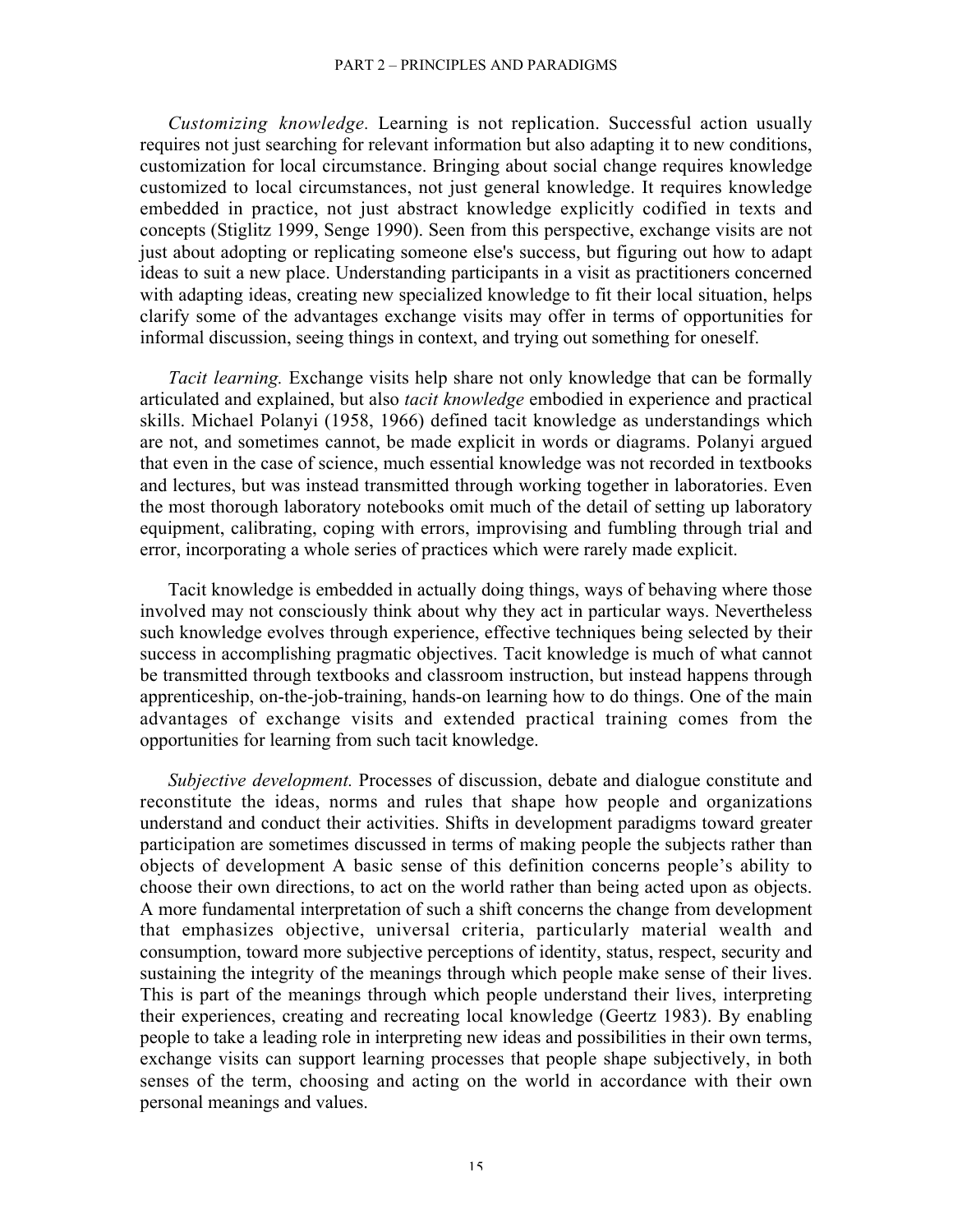### PART 2 – PRINCIPLES AND PARADIGMS

*Customizing knowledge.* Learning is not replication. Successful action usually requires not just searching for relevant information but also adapting it to new conditions, customization for local circumstance. Bringing about social change requires knowledge customized to local circumstances, not just general knowledge. It requires knowledge embedded in practice, not just abstract knowledge explicitly codified in texts and concepts (Stiglitz 1999, Senge 1990). Seen from this perspective, exchange visits are not just about adopting or replicating someone else's success, but figuring out how to adapt ideas to suit a new place. Understanding participants in a visit as practitioners concerned with adapting ideas, creating new specialized knowledge to fit their local situation, helps clarify some of the advantages exchange visits may offer in terms of opportunities for informal discussion, seeing things in context, and trying out something for oneself.

*Tacit learning.* Exchange visits help share not only knowledge that can be formally articulated and explained, but also *tacit knowledge* embodied in experience and practical skills. Michael Polanyi (1958, 1966) defined tacit knowledge as understandings which are not, and sometimes cannot, be made explicit in words or diagrams. Polanyi argued that even in the case of science, much essential knowledge was not recorded in textbooks and lectures, but was instead transmitted through working together in laboratories. Even the most thorough laboratory notebooks omit much of the detail of setting up laboratory equipment, calibrating, coping with errors, improvising and fumbling through trial and error, incorporating a whole series of practices which were rarely made explicit.

Tacit knowledge is embedded in actually doing things, ways of behaving where those involved may not consciously think about why they act in particular ways. Nevertheless such knowledge evolves through experience, effective techniques being selected by their success in accomplishing pragmatic objectives. Tacit knowledge is much of what cannot be transmitted through textbooks and classroom instruction, but instead happens through apprenticeship, on-the-job-training, hands-on learning how to do things. One of the main advantages of exchange visits and extended practical training comes from the opportunities for learning from such tacit knowledge.

*Subjective development.* Processes of discussion, debate and dialogue constitute and reconstitute the ideas, norms and rules that shape how people and organizations understand and conduct their activities. Shifts in development paradigms toward greater participation are sometimes discussed in terms of making people the subjects rather than objects of development A basic sense of this definition concerns people's ability to choose their own directions, to act on the world rather than being acted upon as objects. A more fundamental interpretation of such a shift concerns the change from development that emphasizes objective, universal criteria, particularly material wealth and consumption, toward more subjective perceptions of identity, status, respect, security and sustaining the integrity of the meanings through which people make sense of their lives. This is part of the meanings through which people understand their lives, interpreting their experiences, creating and recreating local knowledge (Geertz 1983). By enabling people to take a leading role in interpreting new ideas and possibilities in their own terms, exchange visits can support learning processes that people shape subjectively, in both senses of the term, choosing and acting on the world in accordance with their own personal meanings and values.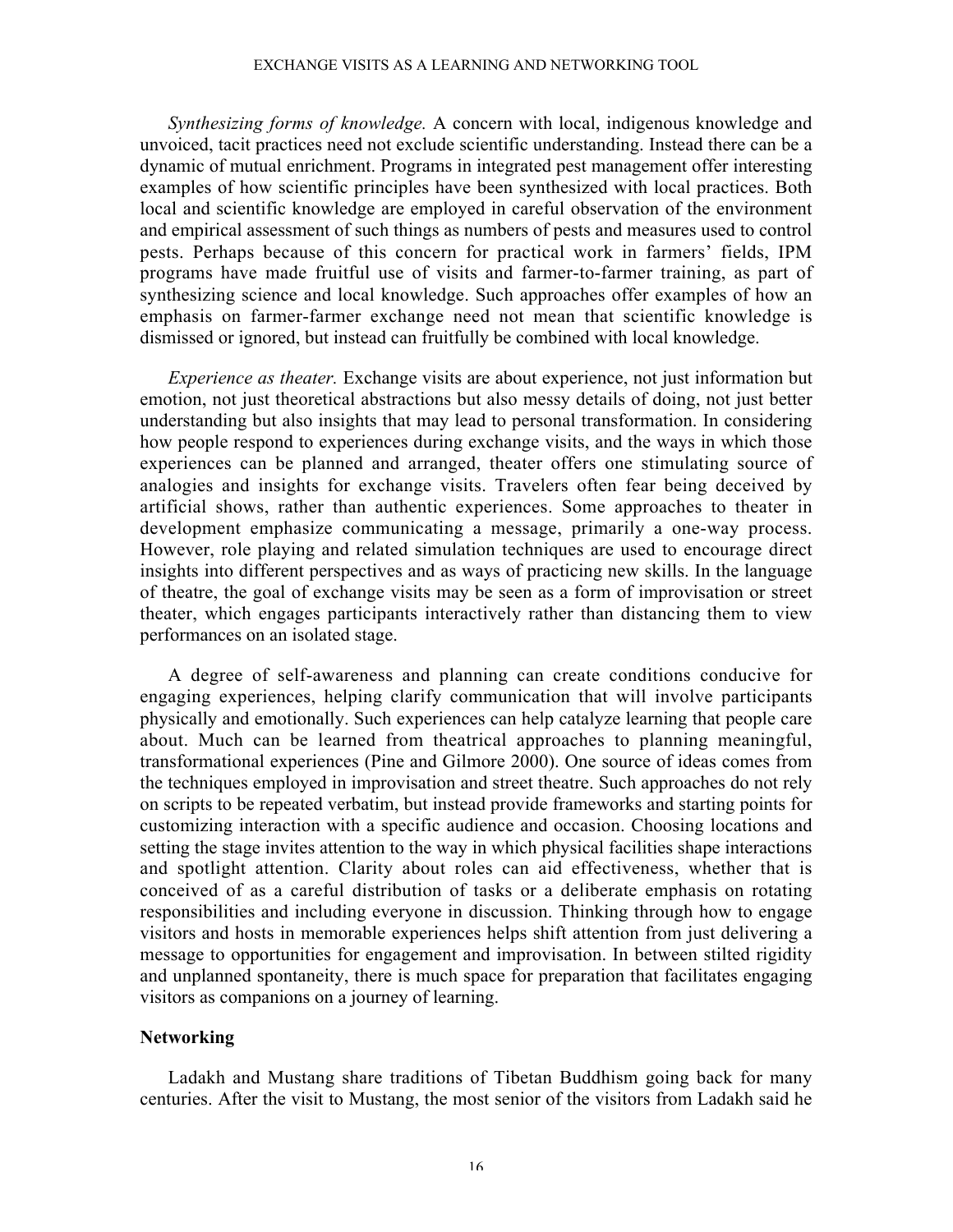### EXCHANGE VISITS AS A LEARNING AND NETWORKING TOOL

*Synthesizing forms of knowledge.* A concern with local, indigenous knowledge and unvoiced, tacit practices need not exclude scientific understanding. Instead there can be a dynamic of mutual enrichment. Programs in integrated pest management offer interesting examples of how scientific principles have been synthesized with local practices. Both local and scientific knowledge are employed in careful observation of the environment and empirical assessment of such things as numbers of pests and measures used to control pests. Perhaps because of this concern for practical work in farmers' fields, IPM programs have made fruitful use of visits and farmer-to-farmer training, as part of synthesizing science and local knowledge. Such approaches offer examples of how an emphasis on farmer-farmer exchange need not mean that scientific knowledge is dismissed or ignored, but instead can fruitfully be combined with local knowledge.

*Experience as theater.* Exchange visits are about experience, not just information but emotion, not just theoretical abstractions but also messy details of doing, not just better understanding but also insights that may lead to personal transformation. In considering how people respond to experiences during exchange visits, and the ways in which those experiences can be planned and arranged, theater offers one stimulating source of analogies and insights for exchange visits. Travelers often fear being deceived by artificial shows, rather than authentic experiences. Some approaches to theater in development emphasize communicating a message, primarily a one-way process. However, role playing and related simulation techniques are used to encourage direct insights into different perspectives and as ways of practicing new skills. In the language of theatre, the goal of exchange visits may be seen as a form of improvisation or street theater, which engages participants interactively rather than distancing them to view performances on an isolated stage.

A degree of self-awareness and planning can create conditions conducive for engaging experiences, helping clarify communication that will involve participants physically and emotionally. Such experiences can help catalyze learning that people care about. Much can be learned from theatrical approaches to planning meaningful, transformational experiences (Pine and Gilmore 2000). One source of ideas comes from the techniques employed in improvisation and street theatre. Such approaches do not rely on scripts to be repeated verbatim, but instead provide frameworks and starting points for customizing interaction with a specific audience and occasion. Choosing locations and setting the stage invites attention to the way in which physical facilities shape interactions and spotlight attention. Clarity about roles can aid effectiveness, whether that is conceived of as a careful distribution of tasks or a deliberate emphasis on rotating responsibilities and including everyone in discussion. Thinking through how to engage visitors and hosts in memorable experiences helps shift attention from just delivering a message to opportunities for engagement and improvisation. In between stilted rigidity and unplanned spontaneity, there is much space for preparation that facilitates engaging visitors as companions on a journey of learning.

## **Networking**

Ladakh and Mustang share traditions of Tibetan Buddhism going back for many centuries. After the visit to Mustang, the most senior of the visitors from Ladakh said he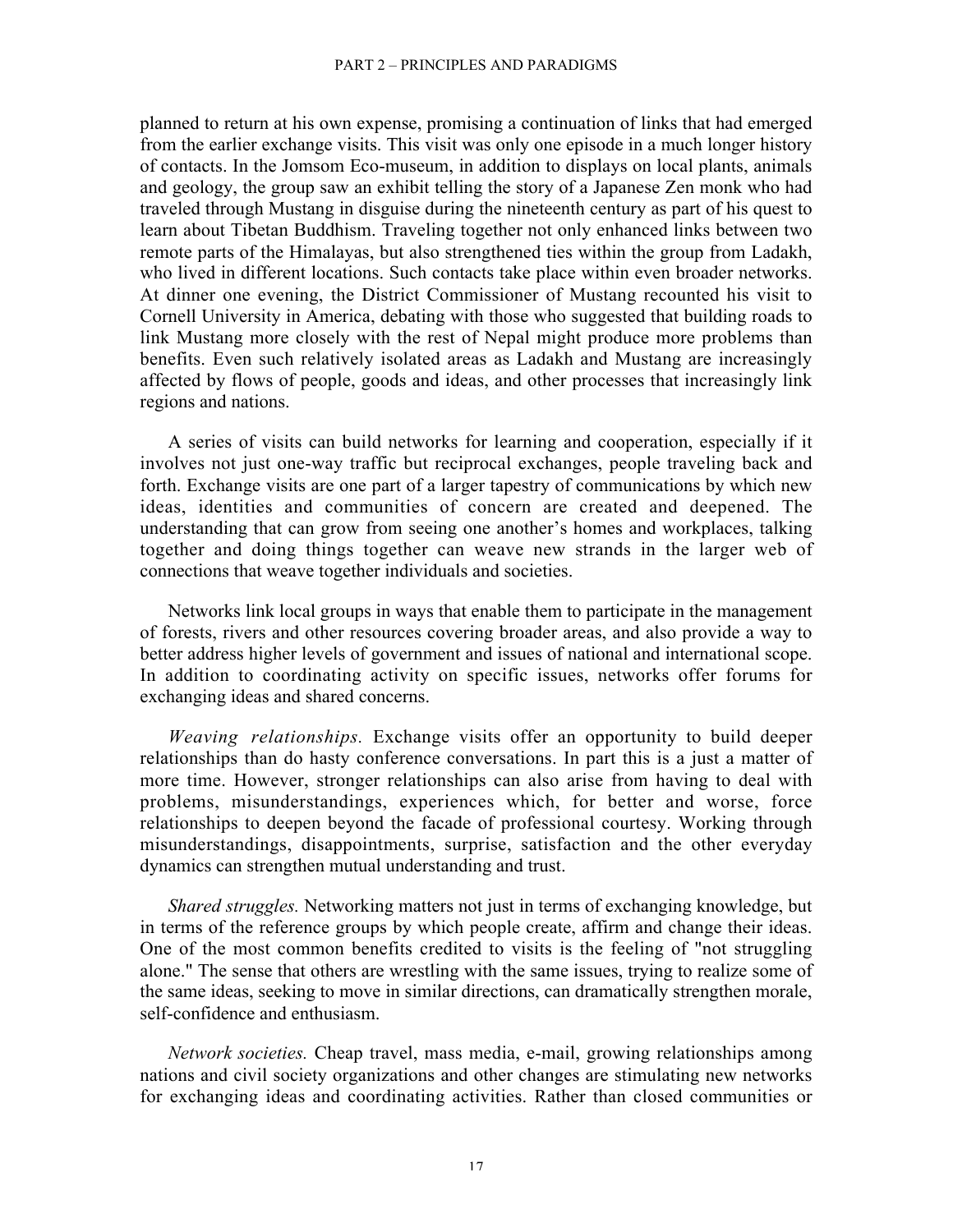planned to return at his own expense, promising a continuation of links that had emerged from the earlier exchange visits. This visit was only one episode in a much longer history of contacts. In the Jomsom Eco-museum, in addition to displays on local plants, animals and geology, the group saw an exhibit telling the story of a Japanese Zen monk who had traveled through Mustang in disguise during the nineteenth century as part of his quest to learn about Tibetan Buddhism. Traveling together not only enhanced links between two remote parts of the Himalayas, but also strengthened ties within the group from Ladakh, who lived in different locations. Such contacts take place within even broader networks. At dinner one evening, the District Commissioner of Mustang recounted his visit to Cornell University in America, debating with those who suggested that building roads to link Mustang more closely with the rest of Nepal might produce more problems than benefits. Even such relatively isolated areas as Ladakh and Mustang are increasingly affected by flows of people, goods and ideas, and other processes that increasingly link regions and nations.

A series of visits can build networks for learning and cooperation, especially if it involves not just one-way traffic but reciprocal exchanges, people traveling back and forth. Exchange visits are one part of a larger tapestry of communications by which new ideas, identities and communities of concern are created and deepened. The understanding that can grow from seeing one another's homes and workplaces, talking together and doing things together can weave new strands in the larger web of connections that weave together individuals and societies.

Networks link local groups in ways that enable them to participate in the management of forests, rivers and other resources covering broader areas, and also provide a way to better address higher levels of government and issues of national and international scope. In addition to coordinating activity on specific issues, networks offer forums for exchanging ideas and shared concerns.

*Weaving relationships.* Exchange visits offer an opportunity to build deeper relationships than do hasty conference conversations. In part this is a just a matter of more time. However, stronger relationships can also arise from having to deal with problems, misunderstandings, experiences which, for better and worse, force relationships to deepen beyond the facade of professional courtesy. Working through misunderstandings, disappointments, surprise, satisfaction and the other everyday dynamics can strengthen mutual understanding and trust.

*Shared struggles.* Networking matters not just in terms of exchanging knowledge, but in terms of the reference groups by which people create, affirm and change their ideas. One of the most common benefits credited to visits is the feeling of "not struggling alone." The sense that others are wrestling with the same issues, trying to realize some of the same ideas, seeking to move in similar directions, can dramatically strengthen morale, self-confidence and enthusiasm.

*Network societies.* Cheap travel, mass media, e-mail, growing relationships among nations and civil society organizations and other changes are stimulating new networks for exchanging ideas and coordinating activities. Rather than closed communities or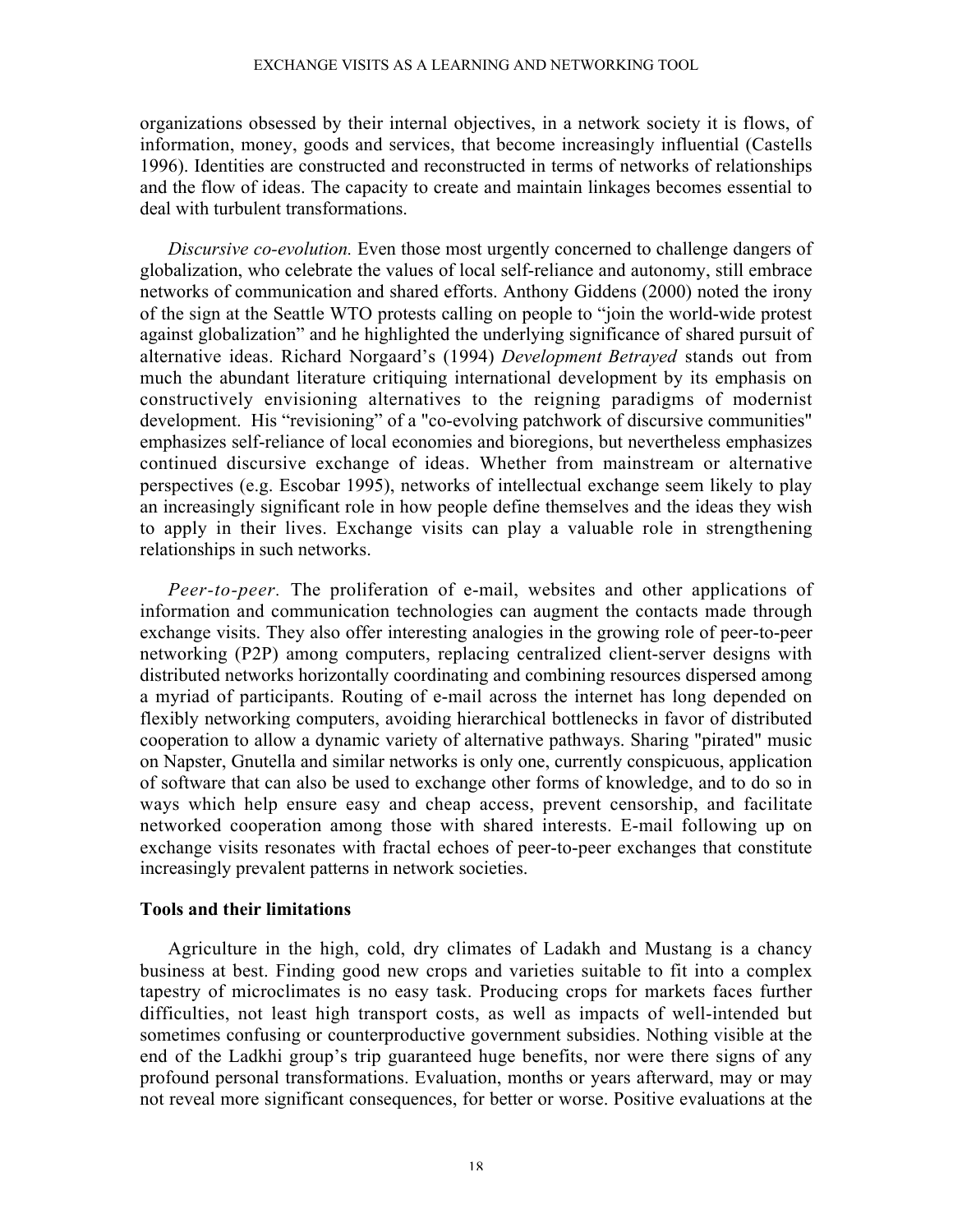### EXCHANGE VISITS AS A LEARNING AND NETWORKING TOOL

organizations obsessed by their internal objectives, in a network society it is flows, of information, money, goods and services, that become increasingly influential (Castells 1996). Identities are constructed and reconstructed in terms of networks of relationships and the flow of ideas. The capacity to create and maintain linkages becomes essential to deal with turbulent transformations.

*Discursive co-evolution.* Even those most urgently concerned to challenge dangers of globalization, who celebrate the values of local self-reliance and autonomy, still embrace networks of communication and shared efforts. Anthony Giddens (2000) noted the irony of the sign at the Seattle WTO protests calling on people to "join the world-wide protest against globalization" and he highlighted the underlying significance of shared pursuit of alternative ideas. Richard Norgaard's (1994) *Development Betrayed* stands out from much the abundant literature critiquing international development by its emphasis on constructively envisioning alternatives to the reigning paradigms of modernist development. His "revisioning" of a "co-evolving patchwork of discursive communities" emphasizes self-reliance of local economies and bioregions, but nevertheless emphasizes continued discursive exchange of ideas. Whether from mainstream or alternative perspectives (e.g. Escobar 1995), networks of intellectual exchange seem likely to play an increasingly significant role in how people define themselves and the ideas they wish to apply in their lives. Exchange visits can play a valuable role in strengthening relationships in such networks.

*Peer-to-peer.* The proliferation of e-mail, websites and other applications of information and communication technologies can augment the contacts made through exchange visits. They also offer interesting analogies in the growing role of peer-to-peer networking (P2P) among computers, replacing centralized client-server designs with distributed networks horizontally coordinating and combining resources dispersed among a myriad of participants. Routing of e-mail across the internet has long depended on flexibly networking computers, avoiding hierarchical bottlenecks in favor of distributed cooperation to allow a dynamic variety of alternative pathways. Sharing "pirated" music on Napster, Gnutella and similar networks is only one, currently conspicuous, application of software that can also be used to exchange other forms of knowledge, and to do so in ways which help ensure easy and cheap access, prevent censorship, and facilitate networked cooperation among those with shared interests. E-mail following up on exchange visits resonates with fractal echoes of peer-to-peer exchanges that constitute increasingly prevalent patterns in network societies.

## Tools and their limitations

Agriculture in the high, cold, dry climates of Ladakh and Mustang is a chancy business at best. Finding good new crops and varieties suitable to fit into a complex tapestry of microclimates is no easy task. Producing crops for markets faces further difficulties, not least high transport costs, as well as impacts of well-intended but sometimes confusing or counterproductive government subsidies. Nothing visible at the end of the Ladkhi group's trip guaranteed huge benefits, nor were there signs of any profound personal transformations. Evaluation, months or years afterward, may or may not reveal more significant consequences, for better or worse. Positive evaluations at the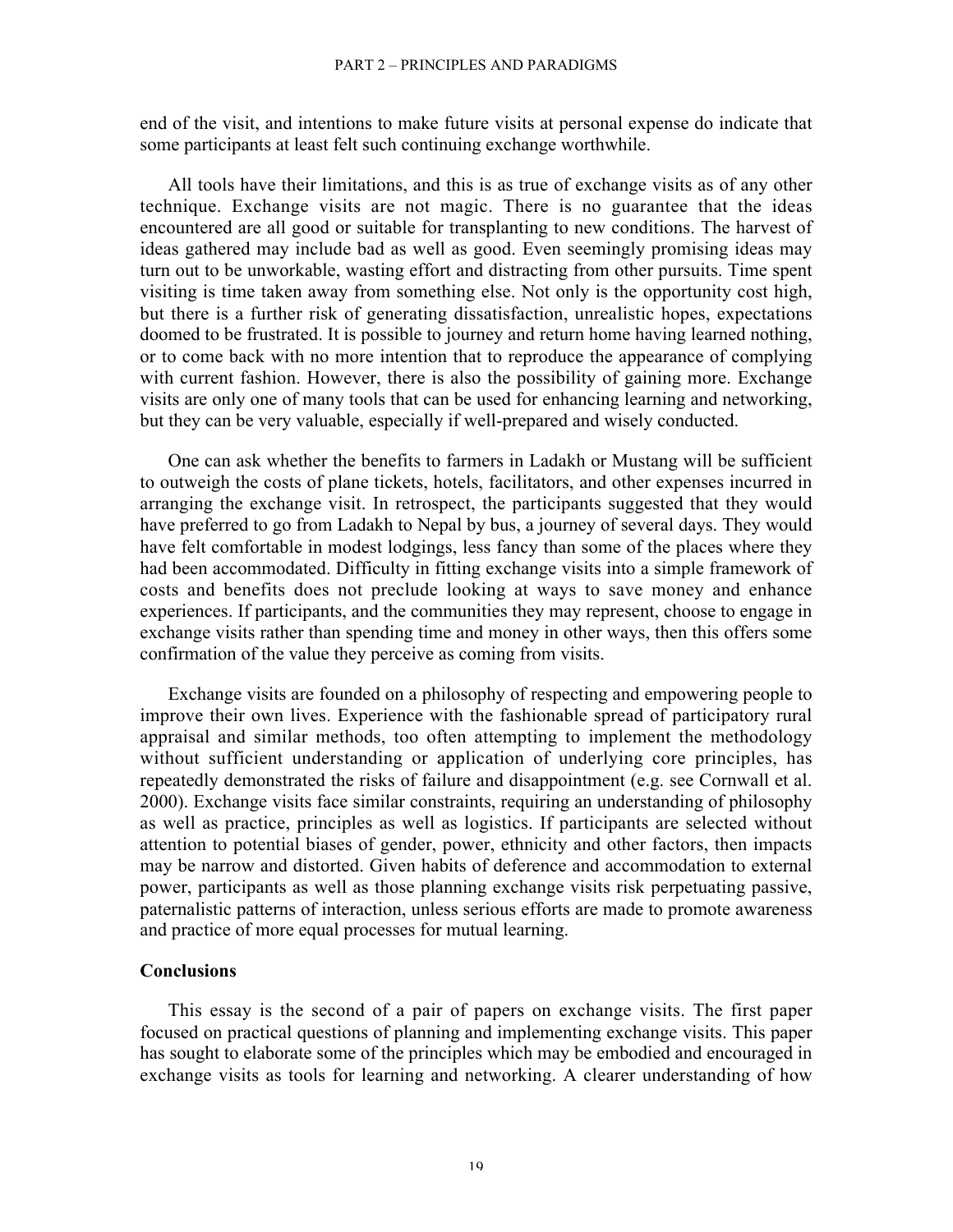### PART 2 – PRINCIPLES AND PARADIGMS

end of the visit, and intentions to make future visits at personal expense do indicate that some participants at least felt such continuing exchange worthwhile.

All tools have their limitations, and this is as true of exchange visits as of any other technique. Exchange visits are not magic. There is no guarantee that the ideas encountered are all good or suitable for transplanting to new conditions. The harvest of ideas gathered may include bad as well as good. Even seemingly promising ideas may turn out to be unworkable, wasting effort and distracting from other pursuits. Time spent visiting is time taken away from something else. Not only is the opportunity cost high, but there is a further risk of generating dissatisfaction, unrealistic hopes, expectations doomed to be frustrated. It is possible to journey and return home having learned nothing, or to come back with no more intention that to reproduce the appearance of complying with current fashion. However, there is also the possibility of gaining more. Exchange visits are only one of many tools that can be used for enhancing learning and networking, but they can be very valuable, especially if well-prepared and wisely conducted.

One can ask whether the benefits to farmers in Ladakh or Mustang will be sufficient to outweigh the costs of plane tickets, hotels, facilitators, and other expenses incurred in arranging the exchange visit. In retrospect, the participants suggested that they would have preferred to go from Ladakh to Nepal by bus, a journey of several days. They would have felt comfortable in modest lodgings, less fancy than some of the places where they had been accommodated. Difficulty in fitting exchange visits into a simple framework of costs and benefits does not preclude looking at ways to save money and enhance experiences. If participants, and the communities they may represent, choose to engage in exchange visits rather than spending time and money in other ways, then this offers some confirmation of the value they perceive as coming from visits.

Exchange visits are founded on a philosophy of respecting and empowering people to improve their own lives. Experience with the fashionable spread of participatory rural appraisal and similar methods, too often attempting to implement the methodology without sufficient understanding or application of underlying core principles, has repeatedly demonstrated the risks of failure and disappointment (e.g. see Cornwall et al. 2000). Exchange visits face similar constraints, requiring an understanding of philosophy as well as practice, principles as well as logistics. If participants are selected without attention to potential biases of gender, power, ethnicity and other factors, then impacts may be narrow and distorted. Given habits of deference and accommodation to external power, participants as well as those planning exchange visits risk perpetuating passive, paternalistic patterns of interaction, unless serious efforts are made to promote awareness and practice of more equal processes for mutual learning.

## **Conclusions**

This essay is the second of a pair of papers on exchange visits. The first paper focused on practical questions of planning and implementing exchange visits. This paper has sought to elaborate some of the principles which may be embodied and encouraged in exchange visits as tools for learning and networking. A clearer understanding of how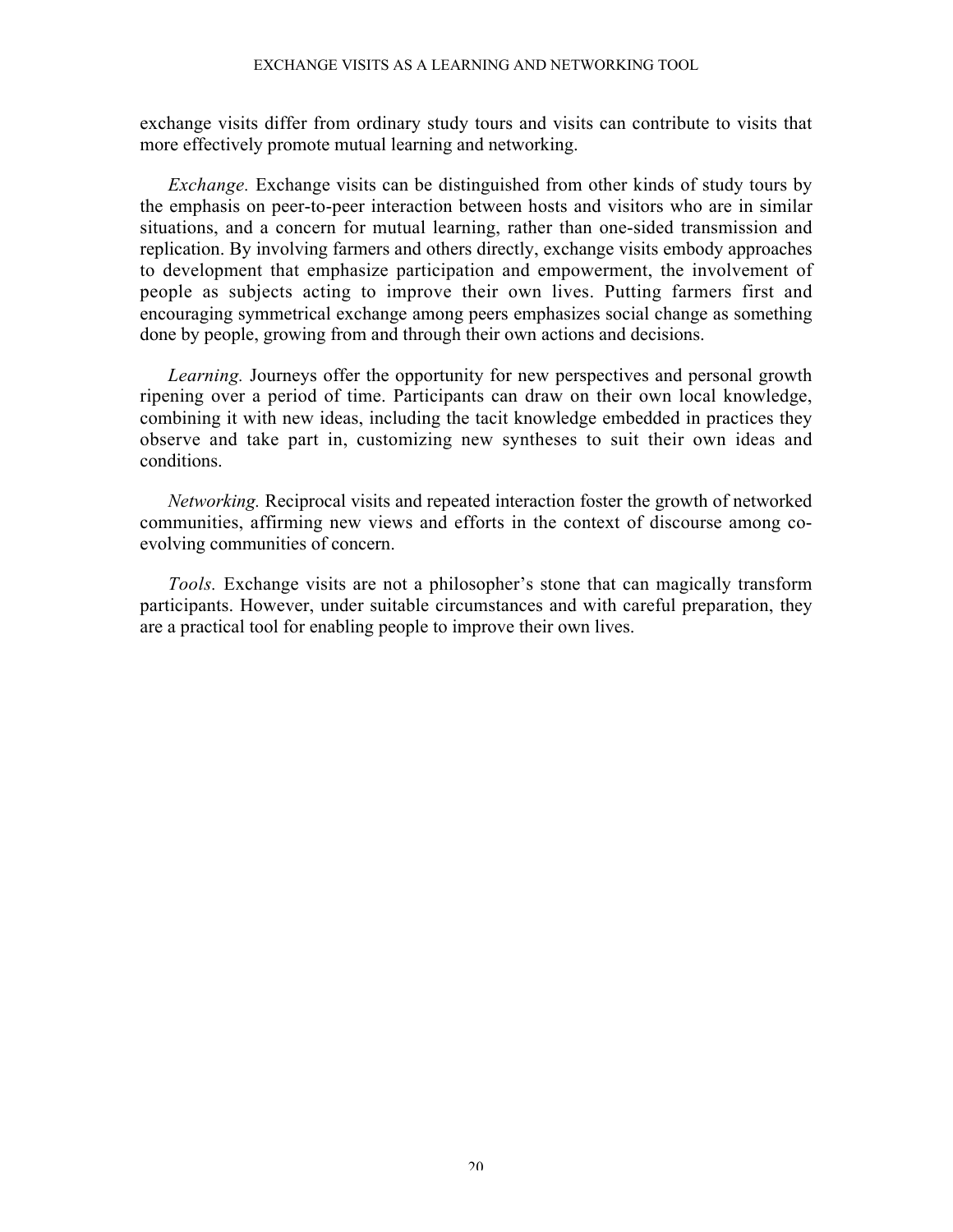### EXCHANGE VISITS AS A LEARNING AND NETWORKING TOOL

exchange visits differ from ordinary study tours and visits can contribute to visits that more effectively promote mutual learning and networking.

*Exchange.* Exchange visits can be distinguished from other kinds of study tours by the emphasis on peer-to-peer interaction between hosts and visitors who are in similar situations, and a concern for mutual learning, rather than one-sided transmission and replication. By involving farmers and others directly, exchange visits embody approaches to development that emphasize participation and empowerment, the involvement of people as subjects acting to improve their own lives. Putting farmers first and encouraging symmetrical exchange among peers emphasizes social change as something done by people, growing from and through their own actions and decisions.

*Learning.* Journeys offer the opportunity for new perspectives and personal growth ripening over a period of time. Participants can draw on their own local knowledge, combining it with new ideas, including the tacit knowledge embedded in practices they observe and take part in, customizing new syntheses to suit their own ideas and conditions.

*Networking.* Reciprocal visits and repeated interaction foster the growth of networked communities, affirming new views and efforts in the context of discourse among coevolving communities of concern.

*Tools.* Exchange visits are not a philosopher's stone that can magically transform participants. However, under suitable circumstances and with careful preparation, they are a practical tool for enabling people to improve their own lives.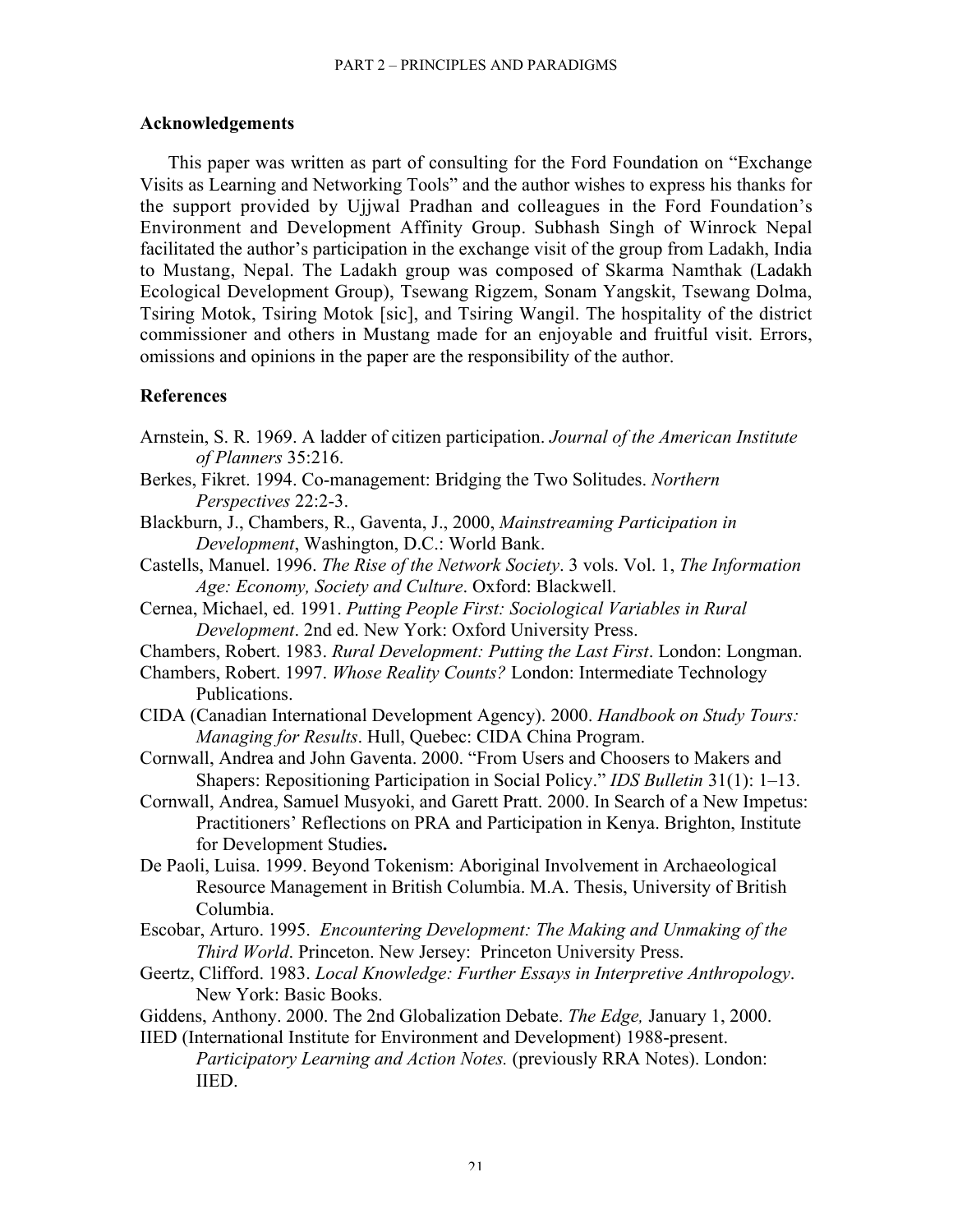## Acknowledgements

This paper was written as part of consulting for the Ford Foundation on "Exchange Visits as Learning and Networking Tools" and the author wishes to express his thanks for the support provided by Ujjwal Pradhan and colleagues in the Ford Foundation's Environment and Development Affinity Group. Subhash Singh of Winrock Nepal facilitated the author's participation in the exchange visit of the group from Ladakh, India to Mustang, Nepal. The Ladakh group was composed of Skarma Namthak (Ladakh Ecological Development Group), Tsewang Rigzem, Sonam Yangskit, Tsewang Dolma, Tsiring Motok, Tsiring Motok [sic], and Tsiring Wangil. The hospitality of the district commissioner and others in Mustang made for an enjoyable and fruitful visit. Errors, omissions and opinions in the paper are the responsibility of the author.

## **References**

- Arnstein, S. R. 1969. A ladder of citizen participation. *Journal of the American Institute of Planners* 35:216.
- Berkes, Fikret. 1994. Co-management: Bridging the Two Solitudes. *Northern Perspectives* 22:2-3.
- Blackburn, J., Chambers, R., Gaventa, J., 2000, *Mainstreaming Participation in Development*, Washington, D.C.: World Bank.
- Castells, Manuel. 1996. *The Rise of the Network Society*. 3 vols. Vol. 1, *The Information Age: Economy, Society and Culture*. Oxford: Blackwell.
- Cernea, Michael, ed. 1991. *Putting People First: Sociological Variables in Rural Development*. 2nd ed. New York: Oxford University Press.
- Chambers, Robert. 1983. *Rural Development: Putting the Last First*. London: Longman.
- Chambers, Robert. 1997. *Whose Reality Counts?* London: Intermediate Technology Publications.
- CIDA (Canadian International Development Agency). 2000. *Handbook on Study Tours: Managing for Results*. Hull, Quebec: CIDA China Program.
- Cornwall, Andrea and John Gaventa. 2000. "From Users and Choosers to Makers and Shapers: Repositioning Participation in Social Policy." *IDS Bulletin* 31(1): 1–13.
- Cornwall, Andrea, Samuel Musyoki, and Garett Pratt. 2000. In Search of a New Impetus: Practitioners' Reflections on PRA and Participation in Kenya. Brighton, Institute for Development Studies.
- De Paoli, Luisa. 1999. Beyond Tokenism: Aboriginal Involvement in Archaeological Resource Management in British Columbia. M.A. Thesis, University of British Columbia.
- Escobar, Arturo. 1995. *Encountering Development: The Making and Unmaking of the Third World*. Princeton. New Jersey: Princeton University Press.
- Geertz, Clifford. 1983. *Local Knowledge: Further Essays in Interpretive Anthropology*. New York: Basic Books.
- Giddens, Anthony. 2000. The 2nd Globalization Debate. *The Edge,* January 1, 2000.
- IIED (International Institute for Environment and Development) 1988-present. *Participatory Learning and Action Notes.* (previously RRA Notes). London: IIED.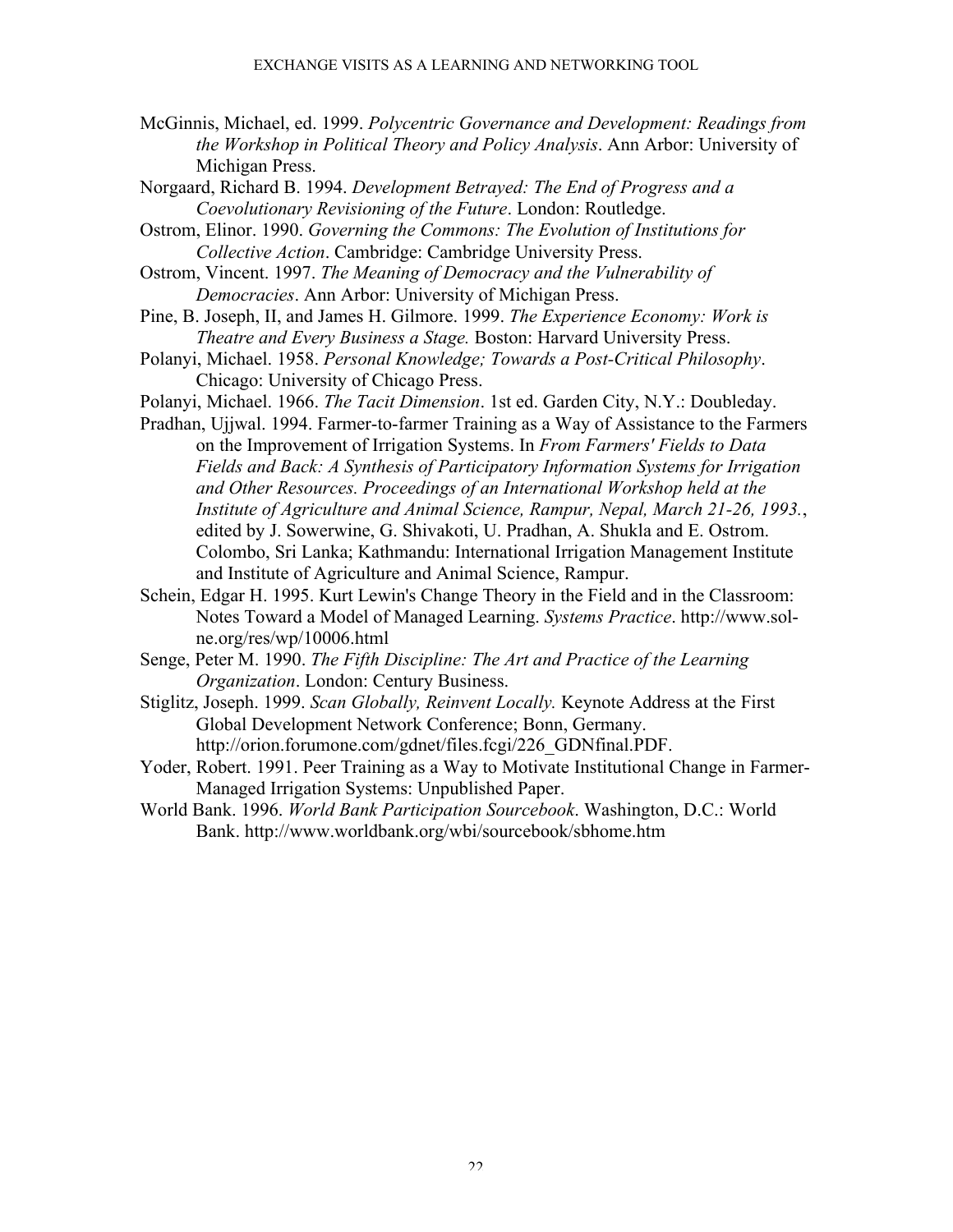- McGinnis, Michael, ed. 1999. *Polycentric Governance and Development: Readings from the Workshop in Political Theory and Policy Analysis*. Ann Arbor: University of Michigan Press.
- Norgaard, Richard B. 1994. *Development Betrayed: The End of Progress and a Coevolutionary Revisioning of the Future*. London: Routledge.
- Ostrom, Elinor. 1990. *Governing the Commons: The Evolution of Institutions for Collective Action*. Cambridge: Cambridge University Press.
- Ostrom, Vincent. 1997. *The Meaning of Democracy and the Vulnerability of Democracies*. Ann Arbor: University of Michigan Press.
- Pine, B. Joseph, II, and James H. Gilmore. 1999. *The Experience Economy: Work is Theatre and Every Business a Stage.* Boston: Harvard University Press.
- Polanyi, Michael. 1958. *Personal Knowledge; Towards a Post-Critical Philosophy*. Chicago: University of Chicago Press.
- Polanyi, Michael. 1966. *The Tacit Dimension*. 1st ed. Garden City, N.Y.: Doubleday.
- Pradhan, Ujjwal. 1994. Farmer-to-farmer Training as a Way of Assistance to the Farmers on the Improvement of Irrigation Systems. In *From Farmers' Fields to Data Fields and Back: A Synthesis of Participatory Information Systems for Irrigation and Other Resources. Proceedings of an International Workshop held at the Institute of Agriculture and Animal Science, Rampur, Nepal, March 21-26, 1993.*, edited by J. Sowerwine, G. Shivakoti, U. Pradhan, A. Shukla and E. Ostrom. Colombo, Sri Lanka; Kathmandu: International Irrigation Management Institute and Institute of Agriculture and Animal Science, Rampur.
- Schein, Edgar H. 1995. Kurt Lewin's Change Theory in the Field and in the Classroom: Notes Toward a Model of Managed Learning. *Systems Practice*. http://www.solne.org/res/wp/10006.html
- Senge, Peter M. 1990. *The Fifth Discipline: The Art and Practice of the Learning Organization*. London: Century Business.
- Stiglitz, Joseph. 1999. *Scan Globally, Reinvent Locally.* Keynote Address at the First Global Development Network Conference; Bonn, Germany. http://orion.forumone.com/gdnet/files.fcgi/226\_GDNfinal.PDF.
- Yoder, Robert. 1991. Peer Training as a Way to Motivate Institutional Change in Farmer-Managed Irrigation Systems: Unpublished Paper.
- World Bank. 1996. *World Bank Participation Sourcebook*. Washington, D.C.: World Bank. http://www.worldbank.org/wbi/sourcebook/sbhome.htm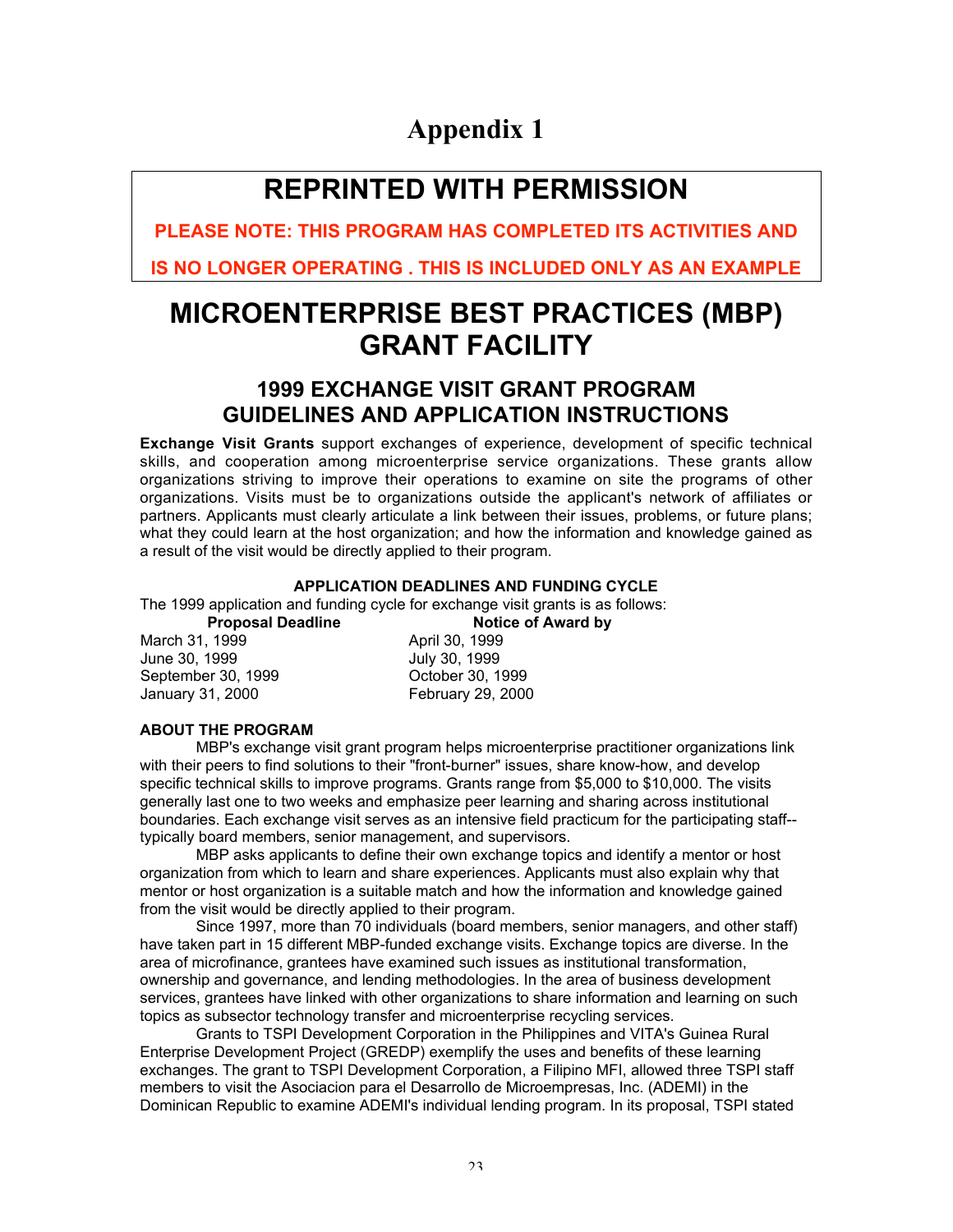## Appendix 1

## **REPRINTED WITH PERMISSION**

**PLEASE NOTE: THIS PROGRAM HAS COMPLETED ITS ACTIVITIES AND**

**IS NO LONGER OPERATING . THIS IS INCLUDED ONLY AS AN EXAMPLE**

## **MICROENTERPRISE BEST PRACTICES (MBP) GRANT FACILITY**

## **1999 EXCHANGE VISIT GRANT PROGRAM GUIDELINES AND APPLICATION INSTRUCTIONS**

**Exchange Visit Grants** support exchanges of experience, development of specific technical skills, and cooperation among microenterprise service organizations. These grants allow organizations striving to improve their operations to examine on site the programs of other organizations. Visits must be to organizations outside the applicant's network of affiliates or partners. Applicants must clearly articulate a link between their issues, problems, or future plans; what they could learn at the host organization; and how the information and knowledge gained as a result of the visit would be directly applied to their program.

## **APPLICATION DEADLINES AND FUNDING CYCLE**

The 1999 application and funding cycle for exchange visit grants is as follows:

March 31, 1999 April 30, 1999 June 30, 1999 September 30, 1999 October 30, 1999 January 31, 2000 February 29, 2000

**Proposal Deadline Notice of Award by** 

## **ABOUT THE PROGRAM**

MBP's exchange visit grant program helps microenterprise practitioner organizations link with their peers to find solutions to their "front-burner" issues, share know-how, and develop specific technical skills to improve programs. Grants range from \$5,000 to \$10,000. The visits generally last one to two weeks and emphasize peer learning and sharing across institutional boundaries. Each exchange visit serves as an intensive field practicum for the participating staff- typically board members, senior management, and supervisors.

MBP asks applicants to define their own exchange topics and identify a mentor or host organization from which to learn and share experiences. Applicants must also explain why that mentor or host organization is a suitable match and how the information and knowledge gained from the visit would be directly applied to their program.

Since 1997, more than 70 individuals (board members, senior managers, and other staff) have taken part in 15 different MBP-funded exchange visits. Exchange topics are diverse. In the area of microfinance, grantees have examined such issues as institutional transformation, ownership and governance, and lending methodologies. In the area of business development services, grantees have linked with other organizations to share information and learning on such topics as subsector technology transfer and microenterprise recycling services.

Grants to TSPI Development Corporation in the Philippines and VITA's Guinea Rural Enterprise Development Project (GREDP) exemplify the uses and benefits of these learning exchanges. The grant to TSPI Development Corporation, a Filipino MFI, allowed three TSPI staff members to visit the Asociacion para el Desarrollo de Microempresas, Inc. (ADEMI) in the Dominican Republic to examine ADEMI's individual lending program. In its proposal, TSPI stated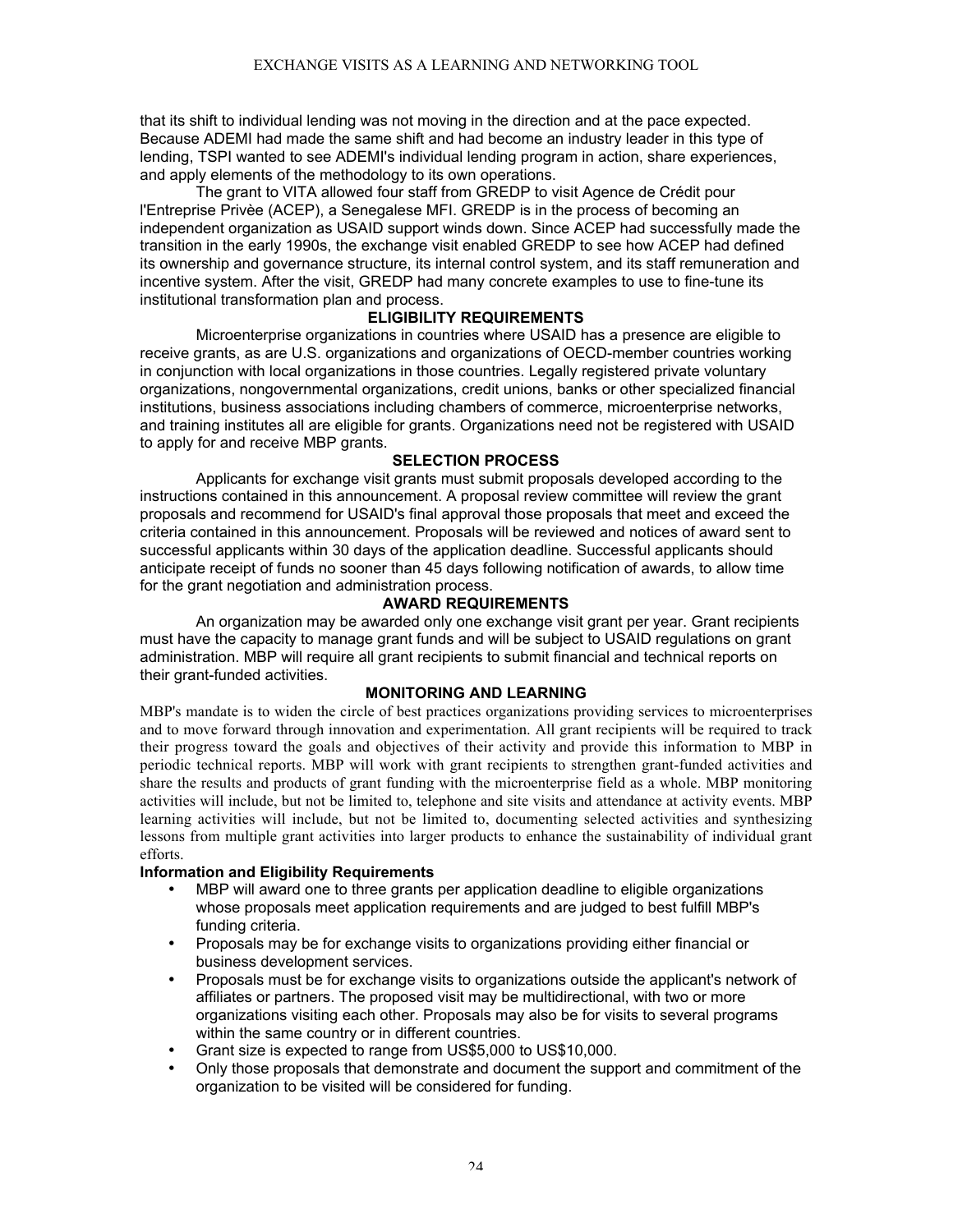that its shift to individual lending was not moving in the direction and at the pace expected. Because ADEMI had made the same shift and had become an industry leader in this type of lending, TSPI wanted to see ADEMI's individual lending program in action, share experiences, and apply elements of the methodology to its own operations.

The grant to VITA allowed four staff from GREDP to visit Agence de Crédit pour l'Entreprise Privèe (ACEP), a Senegalese MFI. GREDP is in the process of becoming an independent organization as USAID support winds down. Since ACEP had successfully made the transition in the early 1990s, the exchange visit enabled GREDP to see how ACEP had defined its ownership and governance structure, its internal control system, and its staff remuneration and incentive system. After the visit, GREDP had many concrete examples to use to fine-tune its institutional transformation plan and process.

## **ELIGIBILITY REQUIREMENTS**

Microenterprise organizations in countries where USAID has a presence are eligible to receive grants, as are U.S. organizations and organizations of OECD-member countries working in conjunction with local organizations in those countries. Legally registered private voluntary organizations, nongovernmental organizations, credit unions, banks or other specialized financial institutions, business associations including chambers of commerce, microenterprise networks, and training institutes all are eligible for grants. Organizations need not be registered with USAID to apply for and receive MBP grants.

## **SELECTION PROCESS**

Applicants for exchange visit grants must submit proposals developed according to the instructions contained in this announcement. A proposal review committee will review the grant proposals and recommend for USAID's final approval those proposals that meet and exceed the criteria contained in this announcement. Proposals will be reviewed and notices of award sent to successful applicants within 30 days of the application deadline. Successful applicants should anticipate receipt of funds no sooner than 45 days following notification of awards, to allow time for the grant negotiation and administration process.

## **AWARD REQUIREMENTS**

An organization may be awarded only one exchange visit grant per year. Grant recipients must have the capacity to manage grant funds and will be subject to USAID regulations on grant administration. MBP will require all grant recipients to submit financial and technical reports on their grant-funded activities.

## **MONITORING AND LEARNING**

MBP's mandate is to widen the circle of best practices organizations providing services to microenterprises and to move forward through innovation and experimentation. All grant recipients will be required to track their progress toward the goals and objectives of their activity and provide this information to MBP in periodic technical reports. MBP will work with grant recipients to strengthen grant-funded activities and share the results and products of grant funding with the microenterprise field as a whole. MBP monitoring activities will include, but not be limited to, telephone and site visits and attendance at activity events. MBP learning activities will include, but not be limited to, documenting selected activities and synthesizing lessons from multiple grant activities into larger products to enhance the sustainability of individual grant efforts.

## **Information and Eligibility Requirements**

- MBP will award one to three grants per application deadline to eligible organizations whose proposals meet application requirements and are judged to best fulfill MBP's funding criteria.
- Proposals may be for exchange visits to organizations providing either financial or business development services.
- Proposals must be for exchange visits to organizations outside the applicant's network of affiliates or partners. The proposed visit may be multidirectional, with two or more organizations visiting each other. Proposals may also be for visits to several programs within the same country or in different countries.
- Grant size is expected to range from US\$5,000 to US\$10,000.
- Only those proposals that demonstrate and document the support and commitment of the organization to be visited will be considered for funding.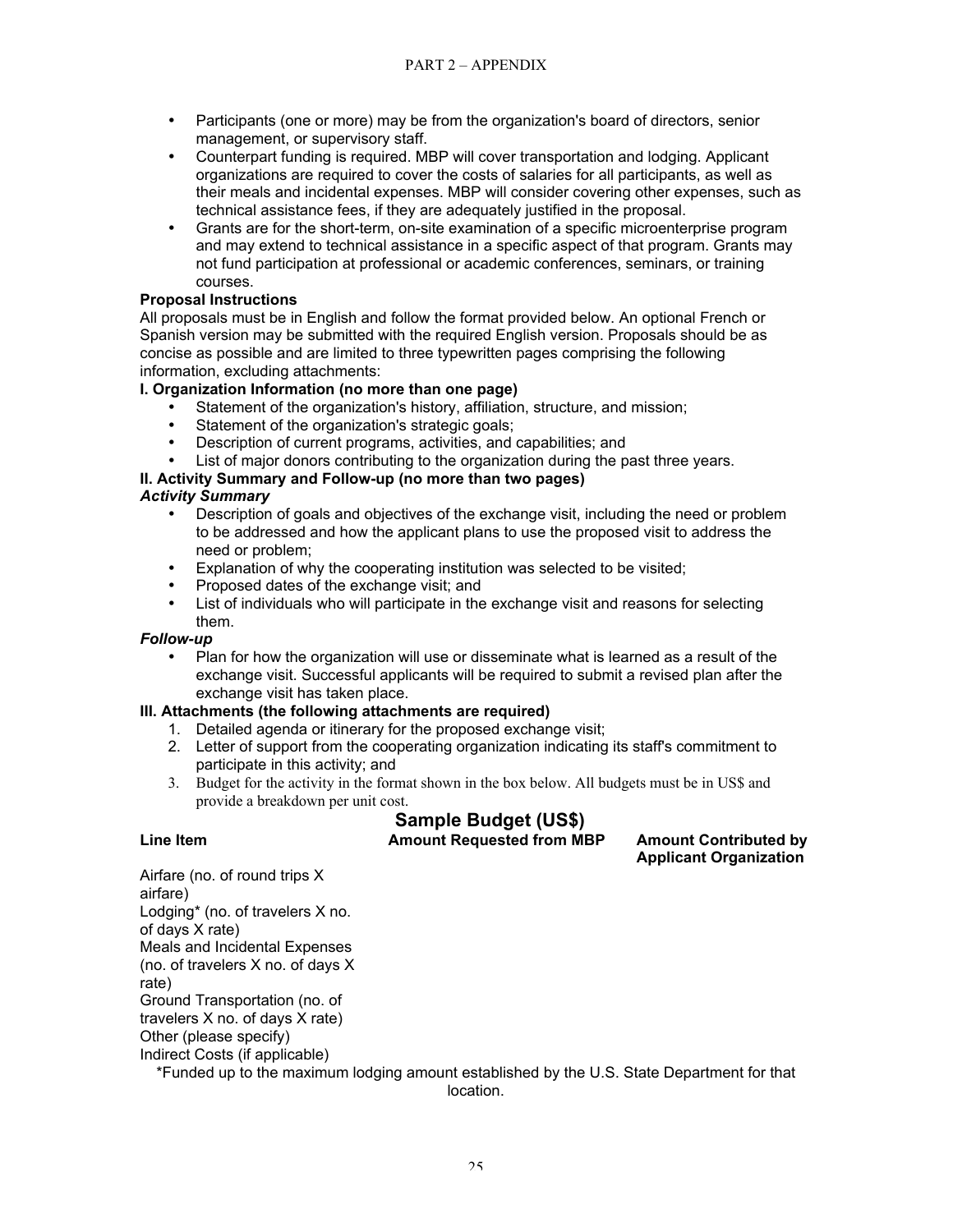- Participants (one or more) may be from the organization's board of directors, senior management, or supervisory staff.
- Counterpart funding is required. MBP will cover transportation and lodging. Applicant organizations are required to cover the costs of salaries for all participants, as well as their meals and incidental expenses. MBP will consider covering other expenses, such as technical assistance fees, if they are adequately justified in the proposal.
- Grants are for the short-term, on-site examination of a specific microenterprise program and may extend to technical assistance in a specific aspect of that program. Grants may not fund participation at professional or academic conferences, seminars, or training courses.

## **Proposal Instructions**

All proposals must be in English and follow the format provided below. An optional French or Spanish version may be submitted with the required English version. Proposals should be as concise as possible and are limited to three typewritten pages comprising the following information, excluding attachments:

## **I. Organization Information (no more than one page)**

- Statement of the organization's history, affiliation, structure, and mission;
- Statement of the organization's strategic goals;
- Description of current programs, activities, and capabilities; and
- List of major donors contributing to the organization during the past three years.

## **II. Activity Summary and Follow-up (no more than two pages)**

## *Activity Summary*

- Description of goals and objectives of the exchange visit, including the need or problem to be addressed and how the applicant plans to use the proposed visit to address the need or problem;
- Explanation of why the cooperating institution was selected to be visited;
- Proposed dates of the exchange visit; and
- List of individuals who will participate in the exchange visit and reasons for selecting them.

## *Follow-up*

• Plan for how the organization will use or disseminate what is learned as a result of the exchange visit. Successful applicants will be required to submit a revised plan after the exchange visit has taken place.

## **III. Attachments (the following attachments are required)**

- 1. Detailed agenda or itinerary for the proposed exchange visit;
- 2. Letter of support from the cooperating organization indicating its staff's commitment to participate in this activity; and
- 3. Budget for the activity in the format shown in the box below. All budgets must be in US\$ and provide a breakdown per unit cost.

## **Sample Budget (US\$) Line Item Amount Requested from MBP Amount Contributed by**

**Applicant Organization**

Airfare (no. of round trips X airfare) Lodging\* (no. of travelers X no. of days X rate) Meals and Incidental Expenses (no. of travelers X no. of days X rate) Ground Transportation (no. of travelers X no. of days X rate) Other (please specify) Indirect Costs (if applicable) \*Funded up to the maximum lodging amount established by the U.S. State Department for that

location.